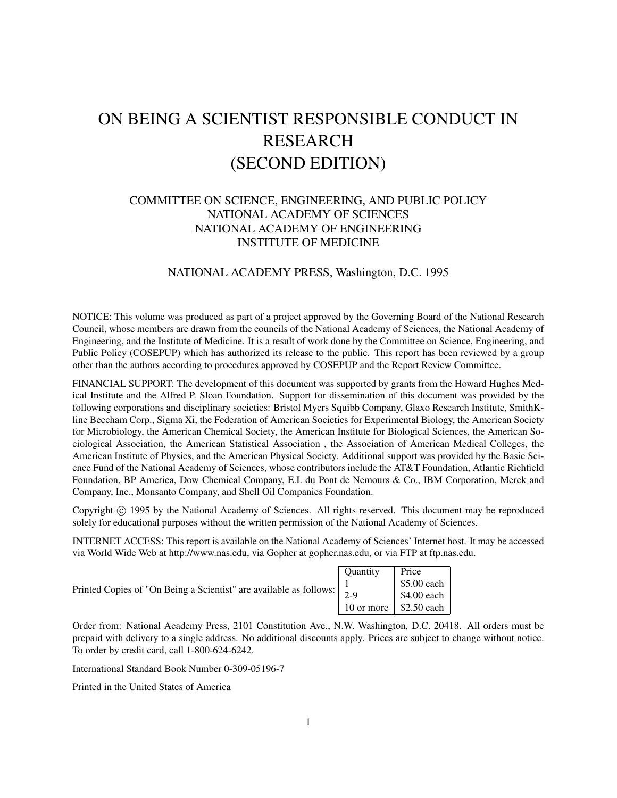# ON BEING A SCIENTIST RESPONSIBLE CONDUCT IN RESEARCH (SECOND EDITION)

### COMMITTEE ON SCIENCE, ENGINEERING, AND PUBLIC POLICY NATIONAL ACADEMY OF SCIENCES NATIONAL ACADEMY OF ENGINEERING INSTITUTE OF MEDICINE

#### NATIONAL ACADEMY PRESS, Washington, D.C. 1995

NOTICE: This volume was produced as part of a project approved by the Governing Board of the National Research Council, whose members are drawn from the councils of the National Academy of Sciences, the National Academy of Engineering, and the Institute of Medicine. It is a result of work done by the Committee on Science, Engineering, and Public Policy (COSEPUP) which has authorized its release to the public. This report has been reviewed by a group other than the authors according to procedures approved by COSEPUP and the Report Review Committee.

FINANCIAL SUPPORT: The development of this document was supported by grants from the Howard Hughes Medical Institute and the Alfred P. Sloan Foundation. Support for dissemination of this document was provided by the following corporations and disciplinary societies: Bristol Myers Squibb Company, Glaxo Research Institute, SmithKline Beecham Corp., Sigma Xi, the Federation of American Societies for Experimental Biology, the American Society for Microbiology, the American Chemical Society, the American Institute for Biological Sciences, the American Sociological Association, the American Statistical Association , the Association of American Medical Colleges, the American Institute of Physics, and the American Physical Society. Additional support was provided by the Basic Science Fund of the National Academy of Sciences, whose contributors include the AT&T Foundation, Atlantic Richfield Foundation, BP America, Dow Chemical Company, E.I. du Pont de Nemours & Co., IBM Corporation, Merck and Company, Inc., Monsanto Company, and Shell Oil Companies Foundation.

Copyright © 1995 by the National Academy of Sciences. All rights reserved. This document may be reproduced solely for educational purposes without the written permission of the National Academy of Sciences.

INTERNET ACCESS: This report is available on the National Academy of Sciences' Internet host. It may be accessed via World Wide Web at http://www.nas.edu, via Gopher at gopher.nas.edu, or via FTP at ftp.nas.edu.

 $\sqrt{Q}$  and  $\sqrt{Q}$ 

| Printed Copies of "On Being a Scientist" are available as follows: $\begin{bmatrix} 1 \\ 2-9 \end{bmatrix}$ | ouanuly                   | - Price     |
|-------------------------------------------------------------------------------------------------------------|---------------------------|-------------|
|                                                                                                             |                           | \$5.00 each |
|                                                                                                             |                           | \$4.00 each |
|                                                                                                             | 10 or more   $$2.50$ each |             |

Order from: National Academy Press, 2101 Constitution Ave., N.W. Washington, D.C. 20418. All orders must be prepaid with delivery to a single address. No additional discounts apply. Prices are subject to change without notice. To order by credit card, call 1-800-624-6242.

International Standard Book Number 0-309-05196-7

Printed in the United States of America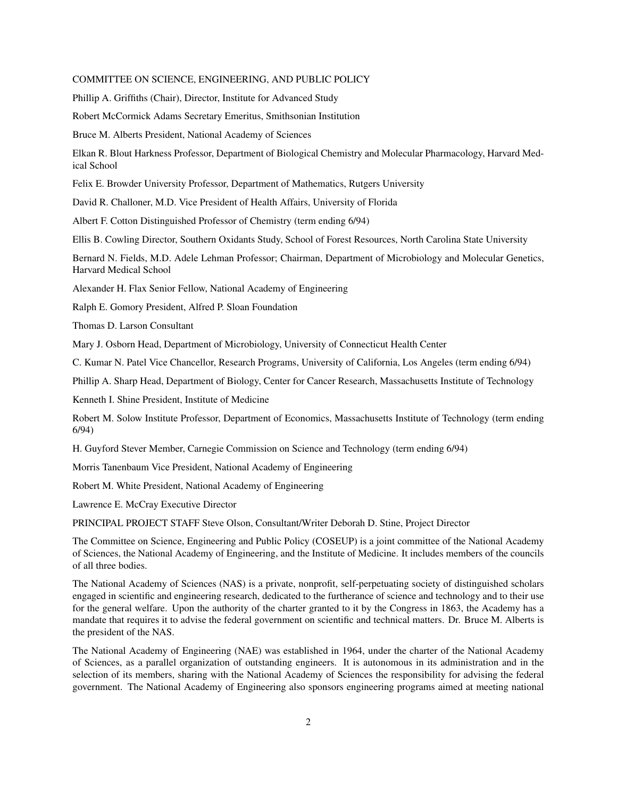#### COMMITTEE ON SCIENCE, ENGINEERING, AND PUBLIC POLICY

Phillip A. Griffiths (Chair), Director, Institute for Advanced Study

Robert McCormick Adams Secretary Emeritus, Smithsonian Institution

Bruce M. Alberts President, National Academy of Sciences

Elkan R. Blout Harkness Professor, Department of Biological Chemistry and Molecular Pharmacology, Harvard Medical School

Felix E. Browder University Professor, Department of Mathematics, Rutgers University

David R. Challoner, M.D. Vice President of Health Affairs, University of Florida

Albert F. Cotton Distinguished Professor of Chemistry (term ending 6/94)

Ellis B. Cowling Director, Southern Oxidants Study, School of Forest Resources, North Carolina State University

Bernard N. Fields, M.D. Adele Lehman Professor; Chairman, Department of Microbiology and Molecular Genetics, Harvard Medical School

Alexander H. Flax Senior Fellow, National Academy of Engineering

Ralph E. Gomory President, Alfred P. Sloan Foundation

Thomas D. Larson Consultant

Mary J. Osborn Head, Department of Microbiology, University of Connecticut Health Center

C. Kumar N. Patel Vice Chancellor, Research Programs, University of California, Los Angeles (term ending 6/94)

Phillip A. Sharp Head, Department of Biology, Center for Cancer Research, Massachusetts Institute of Technology

Kenneth I. Shine President, Institute of Medicine

Robert M. Solow Institute Professor, Department of Economics, Massachusetts Institute of Technology (term ending 6/94)

H. Guyford Stever Member, Carnegie Commission on Science and Technology (term ending 6/94)

Morris Tanenbaum Vice President, National Academy of Engineering

Robert M. White President, National Academy of Engineering

Lawrence E. McCray Executive Director

PRINCIPAL PROJECT STAFF Steve Olson, Consultant/Writer Deborah D. Stine, Project Director

The Committee on Science, Engineering and Public Policy (COSEUP) is a joint committee of the National Academy of Sciences, the National Academy of Engineering, and the Institute of Medicine. It includes members of the councils of all three bodies.

The National Academy of Sciences (NAS) is a private, nonprofit, self-perpetuating society of distinguished scholars engaged in scientific and engineering research, dedicated to the furtherance of science and technology and to their use for the general welfare. Upon the authority of the charter granted to it by the Congress in 1863, the Academy has a mandate that requires it to advise the federal government on scientific and technical matters. Dr. Bruce M. Alberts is the president of the NAS.

The National Academy of Engineering (NAE) was established in 1964, under the charter of the National Academy of Sciences, as a parallel organization of outstanding engineers. It is autonomous in its administration and in the selection of its members, sharing with the National Academy of Sciences the responsibility for advising the federal government. The National Academy of Engineering also sponsors engineering programs aimed at meeting national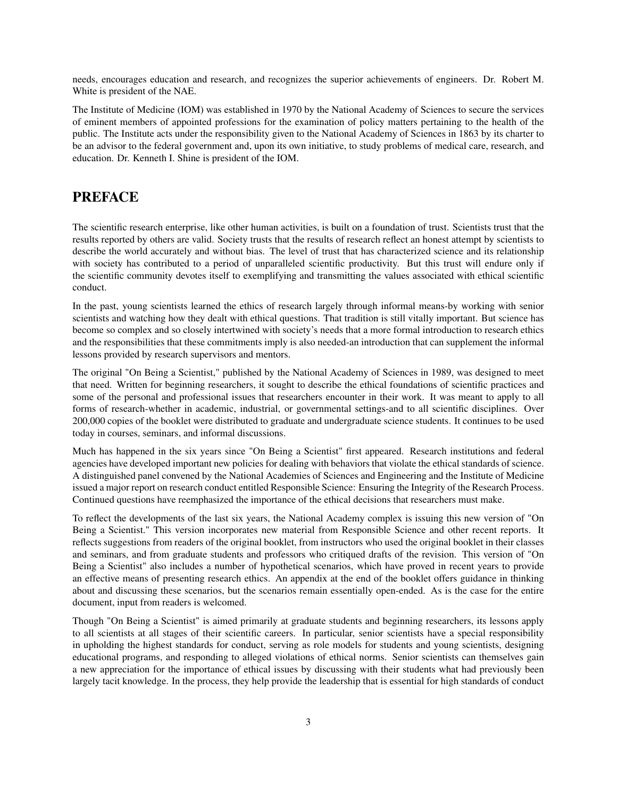needs, encourages education and research, and recognizes the superior achievements of engineers. Dr. Robert M. White is president of the NAE.

The Institute of Medicine (IOM) was established in 1970 by the National Academy of Sciences to secure the services of eminent members of appointed professions for the examination of policy matters pertaining to the health of the public. The Institute acts under the responsibility given to the National Academy of Sciences in 1863 by its charter to be an advisor to the federal government and, upon its own initiative, to study problems of medical care, research, and education. Dr. Kenneth I. Shine is president of the IOM.

### PREFACE

The scientific research enterprise, like other human activities, is built on a foundation of trust. Scientists trust that the results reported by others are valid. Society trusts that the results of research reflect an honest attempt by scientists to describe the world accurately and without bias. The level of trust that has characterized science and its relationship with society has contributed to a period of unparalleled scientific productivity. But this trust will endure only if the scientific community devotes itself to exemplifying and transmitting the values associated with ethical scientific conduct.

In the past, young scientists learned the ethics of research largely through informal means-by working with senior scientists and watching how they dealt with ethical questions. That tradition is still vitally important. But science has become so complex and so closely intertwined with society's needs that a more formal introduction to research ethics and the responsibilities that these commitments imply is also needed-an introduction that can supplement the informal lessons provided by research supervisors and mentors.

The original "On Being a Scientist," published by the National Academy of Sciences in 1989, was designed to meet that need. Written for beginning researchers, it sought to describe the ethical foundations of scientific practices and some of the personal and professional issues that researchers encounter in their work. It was meant to apply to all forms of research-whether in academic, industrial, or governmental settings-and to all scientific disciplines. Over 200,000 copies of the booklet were distributed to graduate and undergraduate science students. It continues to be used today in courses, seminars, and informal discussions.

Much has happened in the six years since "On Being a Scientist" first appeared. Research institutions and federal agencies have developed important new policies for dealing with behaviors that violate the ethical standards of science. A distinguished panel convened by the National Academies of Sciences and Engineering and the Institute of Medicine issued a major report on research conduct entitled Responsible Science: Ensuring the Integrity of the Research Process. Continued questions have reemphasized the importance of the ethical decisions that researchers must make.

To reflect the developments of the last six years, the National Academy complex is issuing this new version of "On Being a Scientist." This version incorporates new material from Responsible Science and other recent reports. It reflects suggestions from readers of the original booklet, from instructors who used the original booklet in their classes and seminars, and from graduate students and professors who critiqued drafts of the revision. This version of "On Being a Scientist" also includes a number of hypothetical scenarios, which have proved in recent years to provide an effective means of presenting research ethics. An appendix at the end of the booklet offers guidance in thinking about and discussing these scenarios, but the scenarios remain essentially open-ended. As is the case for the entire document, input from readers is welcomed.

Though "On Being a Scientist" is aimed primarily at graduate students and beginning researchers, its lessons apply to all scientists at all stages of their scientific careers. In particular, senior scientists have a special responsibility in upholding the highest standards for conduct, serving as role models for students and young scientists, designing educational programs, and responding to alleged violations of ethical norms. Senior scientists can themselves gain a new appreciation for the importance of ethical issues by discussing with their students what had previously been largely tacit knowledge. In the process, they help provide the leadership that is essential for high standards of conduct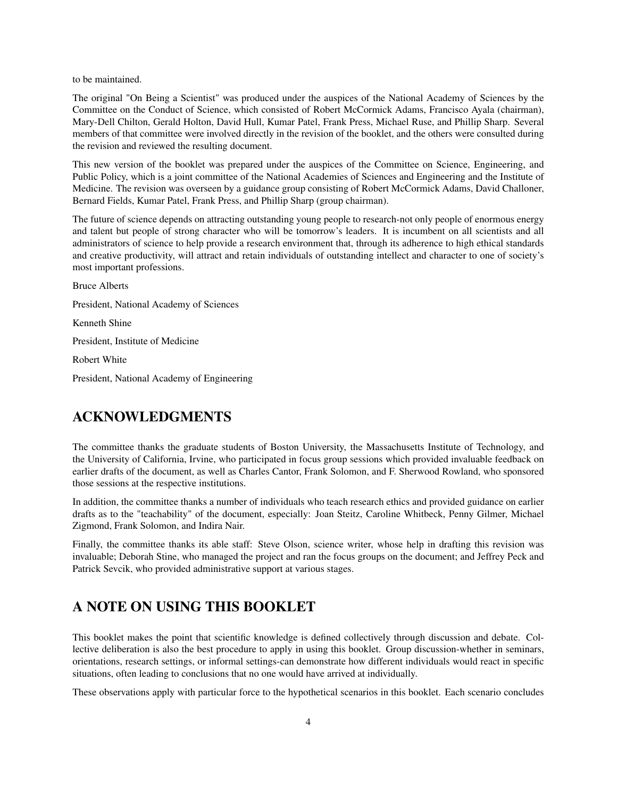to be maintained.

The original "On Being a Scientist" was produced under the auspices of the National Academy of Sciences by the Committee on the Conduct of Science, which consisted of Robert McCormick Adams, Francisco Ayala (chairman), Mary-Dell Chilton, Gerald Holton, David Hull, Kumar Patel, Frank Press, Michael Ruse, and Phillip Sharp. Several members of that committee were involved directly in the revision of the booklet, and the others were consulted during the revision and reviewed the resulting document.

This new version of the booklet was prepared under the auspices of the Committee on Science, Engineering, and Public Policy, which is a joint committee of the National Academies of Sciences and Engineering and the Institute of Medicine. The revision was overseen by a guidance group consisting of Robert McCormick Adams, David Challoner, Bernard Fields, Kumar Patel, Frank Press, and Phillip Sharp (group chairman).

The future of science depends on attracting outstanding young people to research-not only people of enormous energy and talent but people of strong character who will be tomorrow's leaders. It is incumbent on all scientists and all administrators of science to help provide a research environment that, through its adherence to high ethical standards and creative productivity, will attract and retain individuals of outstanding intellect and character to one of society's most important professions.

Bruce Alberts President, National Academy of Sciences Kenneth Shine President, Institute of Medicine Robert White President, National Academy of Engineering

### ACKNOWLEDGMENTS

The committee thanks the graduate students of Boston University, the Massachusetts Institute of Technology, and the University of California, Irvine, who participated in focus group sessions which provided invaluable feedback on earlier drafts of the document, as well as Charles Cantor, Frank Solomon, and F. Sherwood Rowland, who sponsored those sessions at the respective institutions.

In addition, the committee thanks a number of individuals who teach research ethics and provided guidance on earlier drafts as to the "teachability" of the document, especially: Joan Steitz, Caroline Whitbeck, Penny Gilmer, Michael Zigmond, Frank Solomon, and Indira Nair.

Finally, the committee thanks its able staff: Steve Olson, science writer, whose help in drafting this revision was invaluable; Deborah Stine, who managed the project and ran the focus groups on the document; and Jeffrey Peck and Patrick Sevcik, who provided administrative support at various stages.

# A NOTE ON USING THIS BOOKLET

This booklet makes the point that scientific knowledge is defined collectively through discussion and debate. Collective deliberation is also the best procedure to apply in using this booklet. Group discussion-whether in seminars, orientations, research settings, or informal settings-can demonstrate how different individuals would react in specific situations, often leading to conclusions that no one would have arrived at individually.

These observations apply with particular force to the hypothetical scenarios in this booklet. Each scenario concludes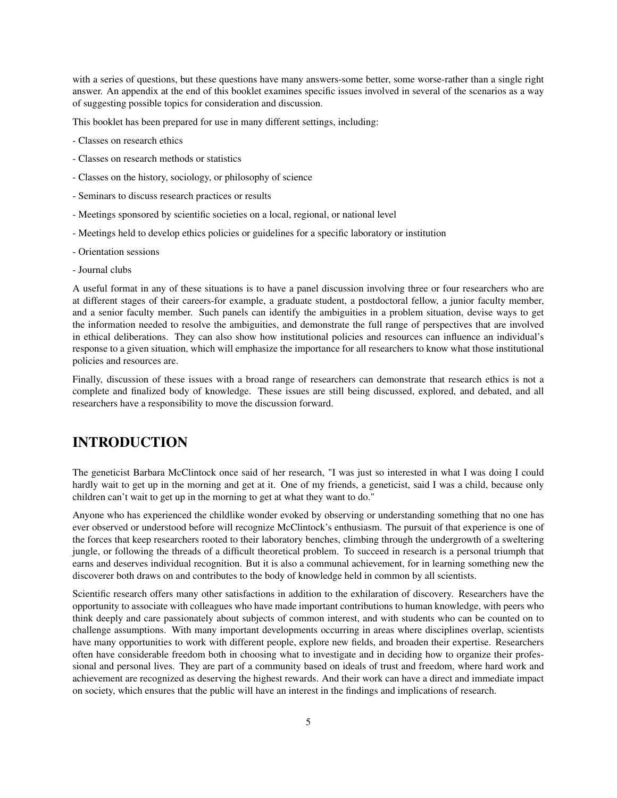with a series of questions, but these questions have many answers-some better, some worse-rather than a single right answer. An appendix at the end of this booklet examines specific issues involved in several of the scenarios as a way of suggesting possible topics for consideration and discussion.

This booklet has been prepared for use in many different settings, including:

- Classes on research ethics
- Classes on research methods or statistics
- Classes on the history, sociology, or philosophy of science
- Seminars to discuss research practices or results
- Meetings sponsored by scientific societies on a local, regional, or national level
- Meetings held to develop ethics policies or guidelines for a specific laboratory or institution
- Orientation sessions
- Journal clubs

A useful format in any of these situations is to have a panel discussion involving three or four researchers who are at different stages of their careers-for example, a graduate student, a postdoctoral fellow, a junior faculty member, and a senior faculty member. Such panels can identify the ambiguities in a problem situation, devise ways to get the information needed to resolve the ambiguities, and demonstrate the full range of perspectives that are involved in ethical deliberations. They can also show how institutional policies and resources can influence an individual's response to a given situation, which will emphasize the importance for all researchers to know what those institutional policies and resources are.

Finally, discussion of these issues with a broad range of researchers can demonstrate that research ethics is not a complete and finalized body of knowledge. These issues are still being discussed, explored, and debated, and all researchers have a responsibility to move the discussion forward.

# INTRODUCTION

The geneticist Barbara McClintock once said of her research, "I was just so interested in what I was doing I could hardly wait to get up in the morning and get at it. One of my friends, a geneticist, said I was a child, because only children can't wait to get up in the morning to get at what they want to do."

Anyone who has experienced the childlike wonder evoked by observing or understanding something that no one has ever observed or understood before will recognize McClintock's enthusiasm. The pursuit of that experience is one of the forces that keep researchers rooted to their laboratory benches, climbing through the undergrowth of a sweltering jungle, or following the threads of a difficult theoretical problem. To succeed in research is a personal triumph that earns and deserves individual recognition. But it is also a communal achievement, for in learning something new the discoverer both draws on and contributes to the body of knowledge held in common by all scientists.

Scientific research offers many other satisfactions in addition to the exhilaration of discovery. Researchers have the opportunity to associate with colleagues who have made important contributions to human knowledge, with peers who think deeply and care passionately about subjects of common interest, and with students who can be counted on to challenge assumptions. With many important developments occurring in areas where disciplines overlap, scientists have many opportunities to work with different people, explore new fields, and broaden their expertise. Researchers often have considerable freedom both in choosing what to investigate and in deciding how to organize their professional and personal lives. They are part of a community based on ideals of trust and freedom, where hard work and achievement are recognized as deserving the highest rewards. And their work can have a direct and immediate impact on society, which ensures that the public will have an interest in the findings and implications of research.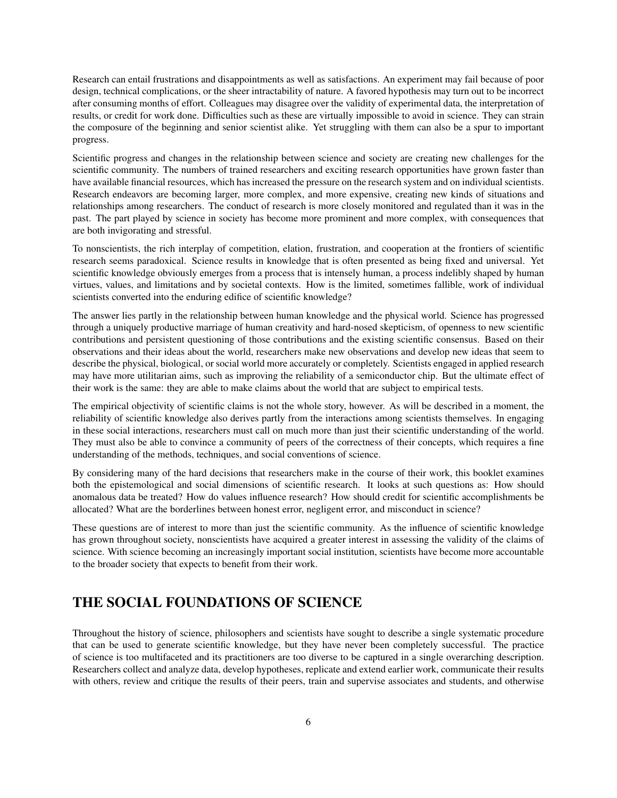Research can entail frustrations and disappointments as well as satisfactions. An experiment may fail because of poor design, technical complications, or the sheer intractability of nature. A favored hypothesis may turn out to be incorrect after consuming months of effort. Colleagues may disagree over the validity of experimental data, the interpretation of results, or credit for work done. Difficulties such as these are virtually impossible to avoid in science. They can strain the composure of the beginning and senior scientist alike. Yet struggling with them can also be a spur to important progress.

Scientific progress and changes in the relationship between science and society are creating new challenges for the scientific community. The numbers of trained researchers and exciting research opportunities have grown faster than have available financial resources, which has increased the pressure on the research system and on individual scientists. Research endeavors are becoming larger, more complex, and more expensive, creating new kinds of situations and relationships among researchers. The conduct of research is more closely monitored and regulated than it was in the past. The part played by science in society has become more prominent and more complex, with consequences that are both invigorating and stressful.

To nonscientists, the rich interplay of competition, elation, frustration, and cooperation at the frontiers of scientific research seems paradoxical. Science results in knowledge that is often presented as being fixed and universal. Yet scientific knowledge obviously emerges from a process that is intensely human, a process indelibly shaped by human virtues, values, and limitations and by societal contexts. How is the limited, sometimes fallible, work of individual scientists converted into the enduring edifice of scientific knowledge?

The answer lies partly in the relationship between human knowledge and the physical world. Science has progressed through a uniquely productive marriage of human creativity and hard-nosed skepticism, of openness to new scientific contributions and persistent questioning of those contributions and the existing scientific consensus. Based on their observations and their ideas about the world, researchers make new observations and develop new ideas that seem to describe the physical, biological, or social world more accurately or completely. Scientists engaged in applied research may have more utilitarian aims, such as improving the reliability of a semiconductor chip. But the ultimate effect of their work is the same: they are able to make claims about the world that are subject to empirical tests.

The empirical objectivity of scientific claims is not the whole story, however. As will be described in a moment, the reliability of scientific knowledge also derives partly from the interactions among scientists themselves. In engaging in these social interactions, researchers must call on much more than just their scientific understanding of the world. They must also be able to convince a community of peers of the correctness of their concepts, which requires a fine understanding of the methods, techniques, and social conventions of science.

By considering many of the hard decisions that researchers make in the course of their work, this booklet examines both the epistemological and social dimensions of scientific research. It looks at such questions as: How should anomalous data be treated? How do values influence research? How should credit for scientific accomplishments be allocated? What are the borderlines between honest error, negligent error, and misconduct in science?

These questions are of interest to more than just the scientific community. As the influence of scientific knowledge has grown throughout society, nonscientists have acquired a greater interest in assessing the validity of the claims of science. With science becoming an increasingly important social institution, scientists have become more accountable to the broader society that expects to benefit from their work.

# THE SOCIAL FOUNDATIONS OF SCIENCE

Throughout the history of science, philosophers and scientists have sought to describe a single systematic procedure that can be used to generate scientific knowledge, but they have never been completely successful. The practice of science is too multifaceted and its practitioners are too diverse to be captured in a single overarching description. Researchers collect and analyze data, develop hypotheses, replicate and extend earlier work, communicate their results with others, review and critique the results of their peers, train and supervise associates and students, and otherwise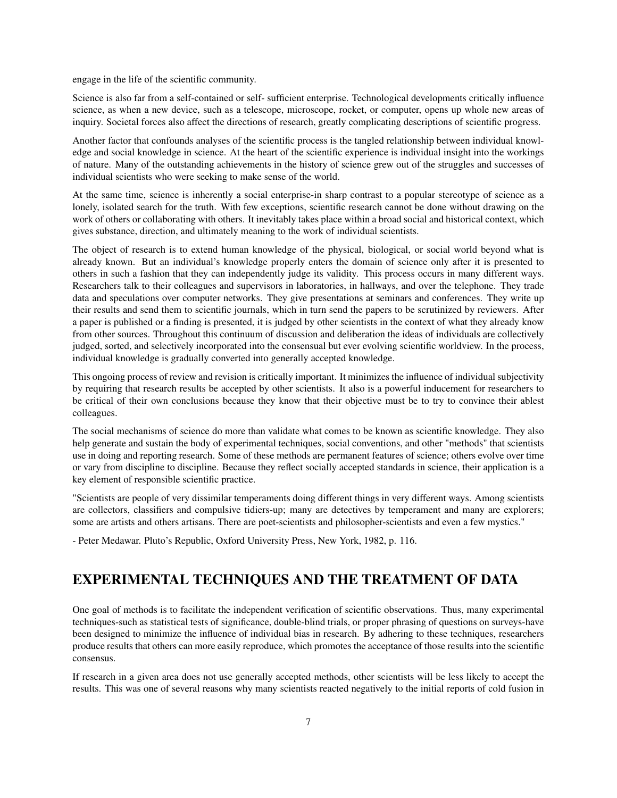engage in the life of the scientific community.

Science is also far from a self-contained or self- sufficient enterprise. Technological developments critically influence science, as when a new device, such as a telescope, microscope, rocket, or computer, opens up whole new areas of inquiry. Societal forces also affect the directions of research, greatly complicating descriptions of scientific progress.

Another factor that confounds analyses of the scientific process is the tangled relationship between individual knowledge and social knowledge in science. At the heart of the scientific experience is individual insight into the workings of nature. Many of the outstanding achievements in the history of science grew out of the struggles and successes of individual scientists who were seeking to make sense of the world.

At the same time, science is inherently a social enterprise-in sharp contrast to a popular stereotype of science as a lonely, isolated search for the truth. With few exceptions, scientific research cannot be done without drawing on the work of others or collaborating with others. It inevitably takes place within a broad social and historical context, which gives substance, direction, and ultimately meaning to the work of individual scientists.

The object of research is to extend human knowledge of the physical, biological, or social world beyond what is already known. But an individual's knowledge properly enters the domain of science only after it is presented to others in such a fashion that they can independently judge its validity. This process occurs in many different ways. Researchers talk to their colleagues and supervisors in laboratories, in hallways, and over the telephone. They trade data and speculations over computer networks. They give presentations at seminars and conferences. They write up their results and send them to scientific journals, which in turn send the papers to be scrutinized by reviewers. After a paper is published or a finding is presented, it is judged by other scientists in the context of what they already know from other sources. Throughout this continuum of discussion and deliberation the ideas of individuals are collectively judged, sorted, and selectively incorporated into the consensual but ever evolving scientific worldview. In the process, individual knowledge is gradually converted into generally accepted knowledge.

This ongoing process of review and revision is critically important. It minimizes the influence of individual subjectivity by requiring that research results be accepted by other scientists. It also is a powerful inducement for researchers to be critical of their own conclusions because they know that their objective must be to try to convince their ablest colleagues.

The social mechanisms of science do more than validate what comes to be known as scientific knowledge. They also help generate and sustain the body of experimental techniques, social conventions, and other "methods" that scientists use in doing and reporting research. Some of these methods are permanent features of science; others evolve over time or vary from discipline to discipline. Because they reflect socially accepted standards in science, their application is a key element of responsible scientific practice.

"Scientists are people of very dissimilar temperaments doing different things in very different ways. Among scientists are collectors, classifiers and compulsive tidiers-up; many are detectives by temperament and many are explorers; some are artists and others artisans. There are poet-scientists and philosopher-scientists and even a few mystics."

- Peter Medawar. Pluto's Republic, Oxford University Press, New York, 1982, p. 116.

# EXPERIMENTAL TECHNIQUES AND THE TREATMENT OF DATA

One goal of methods is to facilitate the independent verification of scientific observations. Thus, many experimental techniques-such as statistical tests of significance, double-blind trials, or proper phrasing of questions on surveys-have been designed to minimize the influence of individual bias in research. By adhering to these techniques, researchers produce results that others can more easily reproduce, which promotes the acceptance of those results into the scientific consensus.

If research in a given area does not use generally accepted methods, other scientists will be less likely to accept the results. This was one of several reasons why many scientists reacted negatively to the initial reports of cold fusion in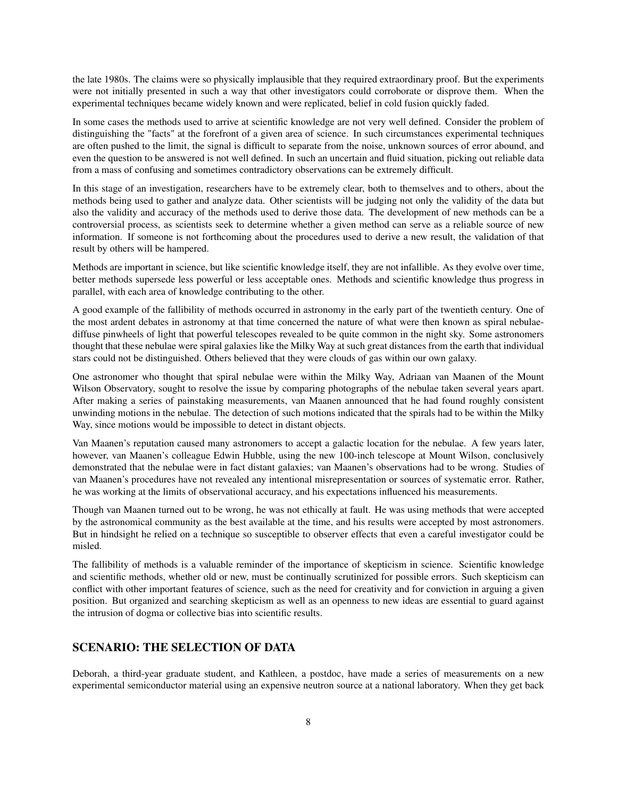the late 1980s. The claims were so physically implausible that they required extraordinary proof. But the experiments were not initially presented in such a way that other investigators could corroborate or disprove them. When the experimental techniques became widely known and were replicated, belief in cold fusion quickly faded.

In some cases the methods used to arrive at scientific knowledge are not very well defined. Consider the problem of distinguishing the "facts" at the forefront of a given area of science. In such circumstances experimental techniques are often pushed to the limit, the signal is difficult to separate from the noise, unknown sources of error abound, and even the question to be answered is not well defined. In such an uncertain and fluid situation, picking out reliable data from a mass of confusing and sometimes contradictory observations can be extremely difficult.

In this stage of an investigation, researchers have to be extremely clear, both to themselves and to others, about the methods being used to gather and analyze data. Other scientists will be judging not only the validity of the data but also the validity and accuracy of the methods used to derive those data. The development of new methods can be a controversial process, as scientists seek to determine whether a given method can serve as a reliable source of new information. If someone is not forthcoming about the procedures used to derive a new result, the validation of that result by others will be hampered.

Methods are important in science, but like scientific knowledge itself, they are not infallible. As they evolve over time, better methods supersede less powerful or less acceptable ones. Methods and scientific knowledge thus progress in parallel, with each area of knowledge contributing to the other.

A good example of the fallibility of methods occurred in astronomy in the early part of the twentieth century. One of the most ardent debates in astronomy at that time concerned the nature of what were then known as spiral nebulaediffuse pinwheels of light that powerful telescopes revealed to be quite common in the night sky. Some astronomers thought that these nebulae were spiral galaxies like the Milky Way at such great distances from the earth that individual stars could not be distinguished. Others believed that they were clouds of gas within our own galaxy.

One astronomer who thought that spiral nebulae were within the Milky Way, Adriaan van Maanen of the Mount Wilson Observatory, sought to resolve the issue by comparing photographs of the nebulae taken several years apart. After making a series of painstaking measurements, van Maanen announced that he had found roughly consistent unwinding motions in the nebulae. The detection of such motions indicated that the spirals had to be within the Milky Way, since motions would be impossible to detect in distant objects.

Van Maanen's reputation caused many astronomers to accept a galactic location for the nebulae. A few years later, however, van Maanen's colleague Edwin Hubble, using the new 100-inch telescope at Mount Wilson, conclusively demonstrated that the nebulae were in fact distant galaxies; van Maanen's observations had to be wrong. Studies of van Maanen's procedures have not revealed any intentional misrepresentation or sources of systematic error. Rather, he was working at the limits of observational accuracy, and his expectations influenced his measurements.

Though van Maanen turned out to be wrong, he was not ethically at fault. He was using methods that were accepted by the astronomical community as the best available at the time, and his results were accepted by most astronomers. But in hindsight he relied on a technique so susceptible to observer effects that even a careful investigator could be misled.

The fallibility of methods is a valuable reminder of the importance of skepticism in science. Scientific knowledge and scientific methods, whether old or new, must be continually scrutinized for possible errors. Such skepticism can conflict with other important features of science, such as the need for creativity and for conviction in arguing a given position. But organized and searching skepticism as well as an openness to new ideas are essential to guard against the intrusion of dogma or collective bias into scientific results.

#### SCENARIO: THE SELECTION OF DATA

Deborah, a third-year graduate student, and Kathleen, a postdoc, have made a series of measurements on a new experimental semiconductor material using an expensive neutron source at a national laboratory. When they get back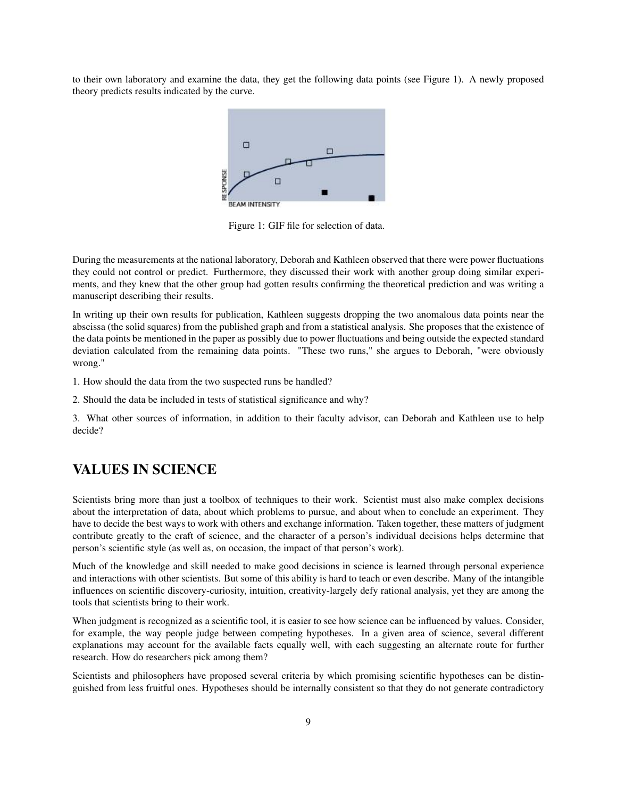to their own laboratory and examine the data, they get the following data points (see Figure 1). A newly proposed theory predicts results indicated by the curve.



Figure 1: GIF file for selection of data.

During the measurements at the national laboratory, Deborah and Kathleen observed that there were power fluctuations they could not control or predict. Furthermore, they discussed their work with another group doing similar experiments, and they knew that the other group had gotten results confirming the theoretical prediction and was writing a manuscript describing their results.

In writing up their own results for publication, Kathleen suggests dropping the two anomalous data points near the abscissa (the solid squares) from the published graph and from a statistical analysis. She proposes that the existence of the data points be mentioned in the paper as possibly due to power fluctuations and being outside the expected standard deviation calculated from the remaining data points. "These two runs," she argues to Deborah, "were obviously wrong."

1. How should the data from the two suspected runs be handled?

2. Should the data be included in tests of statistical significance and why?

3. What other sources of information, in addition to their faculty advisor, can Deborah and Kathleen use to help decide?

### VALUES IN SCIENCE

Scientists bring more than just a toolbox of techniques to their work. Scientist must also make complex decisions about the interpretation of data, about which problems to pursue, and about when to conclude an experiment. They have to decide the best ways to work with others and exchange information. Taken together, these matters of judgment contribute greatly to the craft of science, and the character of a person's individual decisions helps determine that person's scientific style (as well as, on occasion, the impact of that person's work).

Much of the knowledge and skill needed to make good decisions in science is learned through personal experience and interactions with other scientists. But some of this ability is hard to teach or even describe. Many of the intangible influences on scientific discovery-curiosity, intuition, creativity-largely defy rational analysis, yet they are among the tools that scientists bring to their work.

When judgment is recognized as a scientific tool, it is easier to see how science can be influenced by values. Consider, for example, the way people judge between competing hypotheses. In a given area of science, several different explanations may account for the available facts equally well, with each suggesting an alternate route for further research. How do researchers pick among them?

Scientists and philosophers have proposed several criteria by which promising scientific hypotheses can be distinguished from less fruitful ones. Hypotheses should be internally consistent so that they do not generate contradictory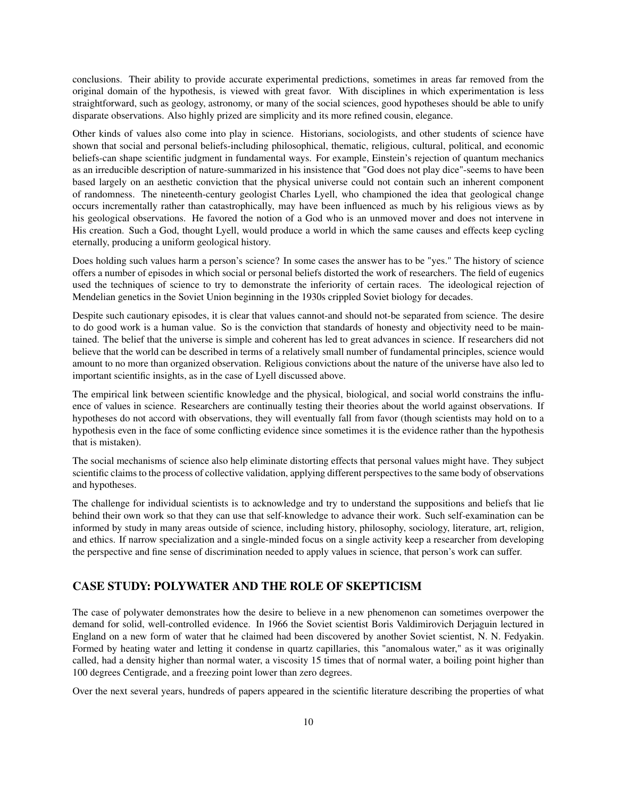conclusions. Their ability to provide accurate experimental predictions, sometimes in areas far removed from the original domain of the hypothesis, is viewed with great favor. With disciplines in which experimentation is less straightforward, such as geology, astronomy, or many of the social sciences, good hypotheses should be able to unify disparate observations. Also highly prized are simplicity and its more refined cousin, elegance.

Other kinds of values also come into play in science. Historians, sociologists, and other students of science have shown that social and personal beliefs-including philosophical, thematic, religious, cultural, political, and economic beliefs-can shape scientific judgment in fundamental ways. For example, Einstein's rejection of quantum mechanics as an irreducible description of nature-summarized in his insistence that "God does not play dice"-seems to have been based largely on an aesthetic conviction that the physical universe could not contain such an inherent component of randomness. The nineteenth-century geologist Charles Lyell, who championed the idea that geological change occurs incrementally rather than catastrophically, may have been influenced as much by his religious views as by his geological observations. He favored the notion of a God who is an unmoved mover and does not intervene in His creation. Such a God, thought Lyell, would produce a world in which the same causes and effects keep cycling eternally, producing a uniform geological history.

Does holding such values harm a person's science? In some cases the answer has to be "yes." The history of science offers a number of episodes in which social or personal beliefs distorted the work of researchers. The field of eugenics used the techniques of science to try to demonstrate the inferiority of certain races. The ideological rejection of Mendelian genetics in the Soviet Union beginning in the 1930s crippled Soviet biology for decades.

Despite such cautionary episodes, it is clear that values cannot-and should not-be separated from science. The desire to do good work is a human value. So is the conviction that standards of honesty and objectivity need to be maintained. The belief that the universe is simple and coherent has led to great advances in science. If researchers did not believe that the world can be described in terms of a relatively small number of fundamental principles, science would amount to no more than organized observation. Religious convictions about the nature of the universe have also led to important scientific insights, as in the case of Lyell discussed above.

The empirical link between scientific knowledge and the physical, biological, and social world constrains the influence of values in science. Researchers are continually testing their theories about the world against observations. If hypotheses do not accord with observations, they will eventually fall from favor (though scientists may hold on to a hypothesis even in the face of some conflicting evidence since sometimes it is the evidence rather than the hypothesis that is mistaken).

The social mechanisms of science also help eliminate distorting effects that personal values might have. They subject scientific claims to the process of collective validation, applying different perspectives to the same body of observations and hypotheses.

The challenge for individual scientists is to acknowledge and try to understand the suppositions and beliefs that lie behind their own work so that they can use that self-knowledge to advance their work. Such self-examination can be informed by study in many areas outside of science, including history, philosophy, sociology, literature, art, religion, and ethics. If narrow specialization and a single-minded focus on a single activity keep a researcher from developing the perspective and fine sense of discrimination needed to apply values in science, that person's work can suffer.

#### CASE STUDY: POLYWATER AND THE ROLE OF SKEPTICISM

The case of polywater demonstrates how the desire to believe in a new phenomenon can sometimes overpower the demand for solid, well-controlled evidence. In 1966 the Soviet scientist Boris Valdimirovich Derjaguin lectured in England on a new form of water that he claimed had been discovered by another Soviet scientist, N. N. Fedyakin. Formed by heating water and letting it condense in quartz capillaries, this "anomalous water," as it was originally called, had a density higher than normal water, a viscosity 15 times that of normal water, a boiling point higher than 100 degrees Centigrade, and a freezing point lower than zero degrees.

Over the next several years, hundreds of papers appeared in the scientific literature describing the properties of what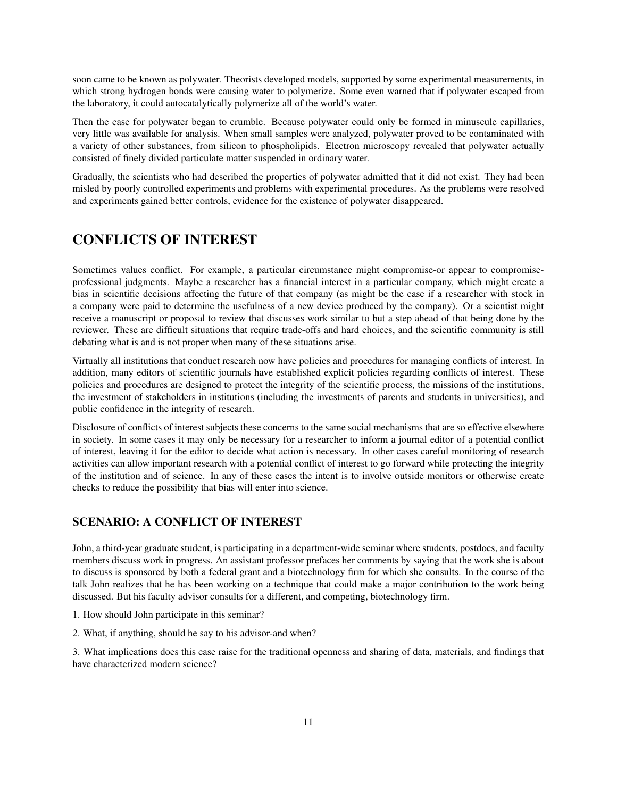soon came to be known as polywater. Theorists developed models, supported by some experimental measurements, in which strong hydrogen bonds were causing water to polymerize. Some even warned that if polywater escaped from the laboratory, it could autocatalytically polymerize all of the world's water.

Then the case for polywater began to crumble. Because polywater could only be formed in minuscule capillaries, very little was available for analysis. When small samples were analyzed, polywater proved to be contaminated with a variety of other substances, from silicon to phospholipids. Electron microscopy revealed that polywater actually consisted of finely divided particulate matter suspended in ordinary water.

Gradually, the scientists who had described the properties of polywater admitted that it did not exist. They had been misled by poorly controlled experiments and problems with experimental procedures. As the problems were resolved and experiments gained better controls, evidence for the existence of polywater disappeared.

# CONFLICTS OF INTEREST

Sometimes values conflict. For example, a particular circumstance might compromise-or appear to compromiseprofessional judgments. Maybe a researcher has a financial interest in a particular company, which might create a bias in scientific decisions affecting the future of that company (as might be the case if a researcher with stock in a company were paid to determine the usefulness of a new device produced by the company). Or a scientist might receive a manuscript or proposal to review that discusses work similar to but a step ahead of that being done by the reviewer. These are difficult situations that require trade-offs and hard choices, and the scientific community is still debating what is and is not proper when many of these situations arise.

Virtually all institutions that conduct research now have policies and procedures for managing conflicts of interest. In addition, many editors of scientific journals have established explicit policies regarding conflicts of interest. These policies and procedures are designed to protect the integrity of the scientific process, the missions of the institutions, the investment of stakeholders in institutions (including the investments of parents and students in universities), and public confidence in the integrity of research.

Disclosure of conflicts of interest subjects these concerns to the same social mechanisms that are so effective elsewhere in society. In some cases it may only be necessary for a researcher to inform a journal editor of a potential conflict of interest, leaving it for the editor to decide what action is necessary. In other cases careful monitoring of research activities can allow important research with a potential conflict of interest to go forward while protecting the integrity of the institution and of science. In any of these cases the intent is to involve outside monitors or otherwise create checks to reduce the possibility that bias will enter into science.

#### SCENARIO: A CONFLICT OF INTEREST

John, a third-year graduate student, is participating in a department-wide seminar where students, postdocs, and faculty members discuss work in progress. An assistant professor prefaces her comments by saying that the work she is about to discuss is sponsored by both a federal grant and a biotechnology firm for which she consults. In the course of the talk John realizes that he has been working on a technique that could make a major contribution to the work being discussed. But his faculty advisor consults for a different, and competing, biotechnology firm.

1. How should John participate in this seminar?

2. What, if anything, should he say to his advisor-and when?

3. What implications does this case raise for the traditional openness and sharing of data, materials, and findings that have characterized modern science?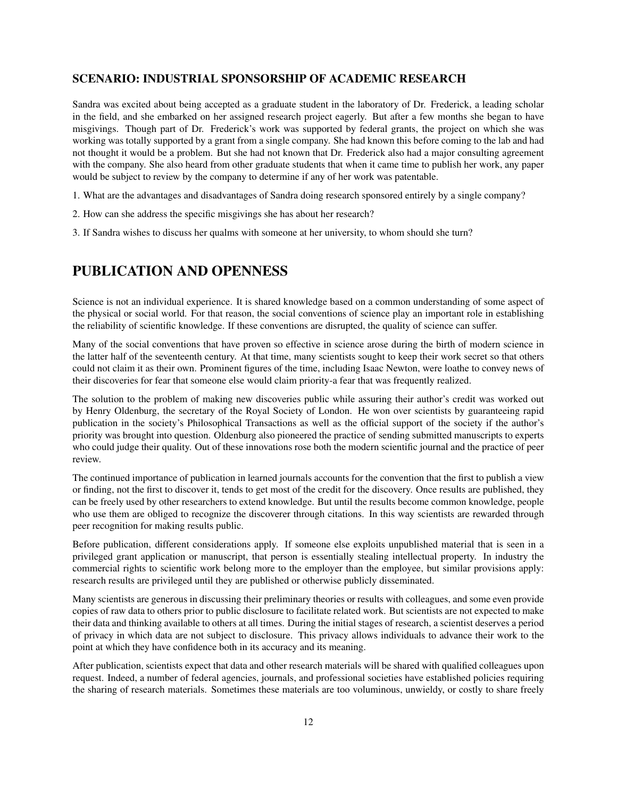#### SCENARIO: INDUSTRIAL SPONSORSHIP OF ACADEMIC RESEARCH

Sandra was excited about being accepted as a graduate student in the laboratory of Dr. Frederick, a leading scholar in the field, and she embarked on her assigned research project eagerly. But after a few months she began to have misgivings. Though part of Dr. Frederick's work was supported by federal grants, the project on which she was working was totally supported by a grant from a single company. She had known this before coming to the lab and had not thought it would be a problem. But she had not known that Dr. Frederick also had a major consulting agreement with the company. She also heard from other graduate students that when it came time to publish her work, any paper would be subject to review by the company to determine if any of her work was patentable.

- 1. What are the advantages and disadvantages of Sandra doing research sponsored entirely by a single company?
- 2. How can she address the specific misgivings she has about her research?
- 3. If Sandra wishes to discuss her qualms with someone at her university, to whom should she turn?

# PUBLICATION AND OPENNESS

Science is not an individual experience. It is shared knowledge based on a common understanding of some aspect of the physical or social world. For that reason, the social conventions of science play an important role in establishing the reliability of scientific knowledge. If these conventions are disrupted, the quality of science can suffer.

Many of the social conventions that have proven so effective in science arose during the birth of modern science in the latter half of the seventeenth century. At that time, many scientists sought to keep their work secret so that others could not claim it as their own. Prominent figures of the time, including Isaac Newton, were loathe to convey news of their discoveries for fear that someone else would claim priority-a fear that was frequently realized.

The solution to the problem of making new discoveries public while assuring their author's credit was worked out by Henry Oldenburg, the secretary of the Royal Society of London. He won over scientists by guaranteeing rapid publication in the society's Philosophical Transactions as well as the official support of the society if the author's priority was brought into question. Oldenburg also pioneered the practice of sending submitted manuscripts to experts who could judge their quality. Out of these innovations rose both the modern scientific journal and the practice of peer review.

The continued importance of publication in learned journals accounts for the convention that the first to publish a view or finding, not the first to discover it, tends to get most of the credit for the discovery. Once results are published, they can be freely used by other researchers to extend knowledge. But until the results become common knowledge, people who use them are obliged to recognize the discoverer through citations. In this way scientists are rewarded through peer recognition for making results public.

Before publication, different considerations apply. If someone else exploits unpublished material that is seen in a privileged grant application or manuscript, that person is essentially stealing intellectual property. In industry the commercial rights to scientific work belong more to the employer than the employee, but similar provisions apply: research results are privileged until they are published or otherwise publicly disseminated.

Many scientists are generous in discussing their preliminary theories or results with colleagues, and some even provide copies of raw data to others prior to public disclosure to facilitate related work. But scientists are not expected to make their data and thinking available to others at all times. During the initial stages of research, a scientist deserves a period of privacy in which data are not subject to disclosure. This privacy allows individuals to advance their work to the point at which they have confidence both in its accuracy and its meaning.

After publication, scientists expect that data and other research materials will be shared with qualified colleagues upon request. Indeed, a number of federal agencies, journals, and professional societies have established policies requiring the sharing of research materials. Sometimes these materials are too voluminous, unwieldy, or costly to share freely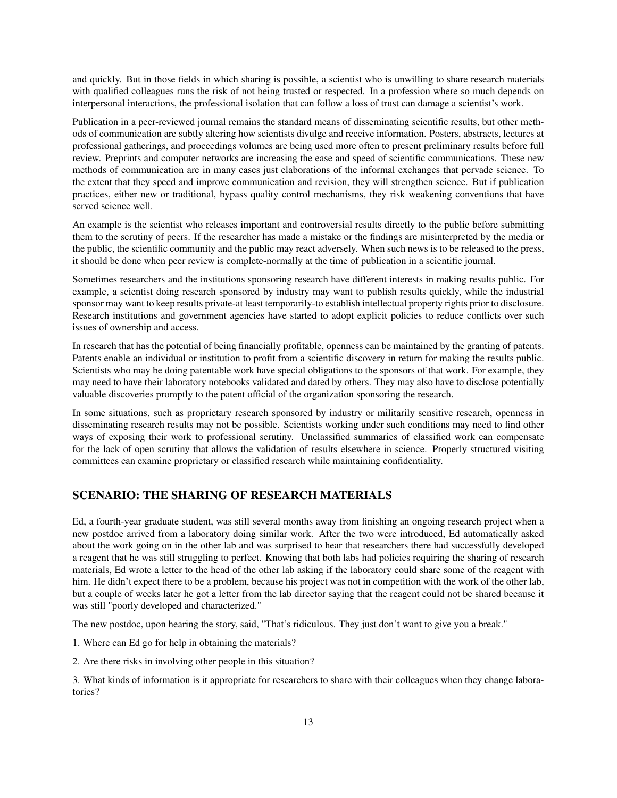and quickly. But in those fields in which sharing is possible, a scientist who is unwilling to share research materials with qualified colleagues runs the risk of not being trusted or respected. In a profession where so much depends on interpersonal interactions, the professional isolation that can follow a loss of trust can damage a scientist's work.

Publication in a peer-reviewed journal remains the standard means of disseminating scientific results, but other methods of communication are subtly altering how scientists divulge and receive information. Posters, abstracts, lectures at professional gatherings, and proceedings volumes are being used more often to present preliminary results before full review. Preprints and computer networks are increasing the ease and speed of scientific communications. These new methods of communication are in many cases just elaborations of the informal exchanges that pervade science. To the extent that they speed and improve communication and revision, they will strengthen science. But if publication practices, either new or traditional, bypass quality control mechanisms, they risk weakening conventions that have served science well.

An example is the scientist who releases important and controversial results directly to the public before submitting them to the scrutiny of peers. If the researcher has made a mistake or the findings are misinterpreted by the media or the public, the scientific community and the public may react adversely. When such news is to be released to the press, it should be done when peer review is complete-normally at the time of publication in a scientific journal.

Sometimes researchers and the institutions sponsoring research have different interests in making results public. For example, a scientist doing research sponsored by industry may want to publish results quickly, while the industrial sponsor may want to keep results private-at least temporarily-to establish intellectual property rights prior to disclosure. Research institutions and government agencies have started to adopt explicit policies to reduce conflicts over such issues of ownership and access.

In research that has the potential of being financially profitable, openness can be maintained by the granting of patents. Patents enable an individual or institution to profit from a scientific discovery in return for making the results public. Scientists who may be doing patentable work have special obligations to the sponsors of that work. For example, they may need to have their laboratory notebooks validated and dated by others. They may also have to disclose potentially valuable discoveries promptly to the patent official of the organization sponsoring the research.

In some situations, such as proprietary research sponsored by industry or militarily sensitive research, openness in disseminating research results may not be possible. Scientists working under such conditions may need to find other ways of exposing their work to professional scrutiny. Unclassified summaries of classified work can compensate for the lack of open scrutiny that allows the validation of results elsewhere in science. Properly structured visiting committees can examine proprietary or classified research while maintaining confidentiality.

#### SCENARIO: THE SHARING OF RESEARCH MATERIALS

Ed, a fourth-year graduate student, was still several months away from finishing an ongoing research project when a new postdoc arrived from a laboratory doing similar work. After the two were introduced, Ed automatically asked about the work going on in the other lab and was surprised to hear that researchers there had successfully developed a reagent that he was still struggling to perfect. Knowing that both labs had policies requiring the sharing of research materials, Ed wrote a letter to the head of the other lab asking if the laboratory could share some of the reagent with him. He didn't expect there to be a problem, because his project was not in competition with the work of the other lab, but a couple of weeks later he got a letter from the lab director saying that the reagent could not be shared because it was still "poorly developed and characterized."

The new postdoc, upon hearing the story, said, "That's ridiculous. They just don't want to give you a break."

- 1. Where can Ed go for help in obtaining the materials?
- 2. Are there risks in involving other people in this situation?

3. What kinds of information is it appropriate for researchers to share with their colleagues when they change laboratories?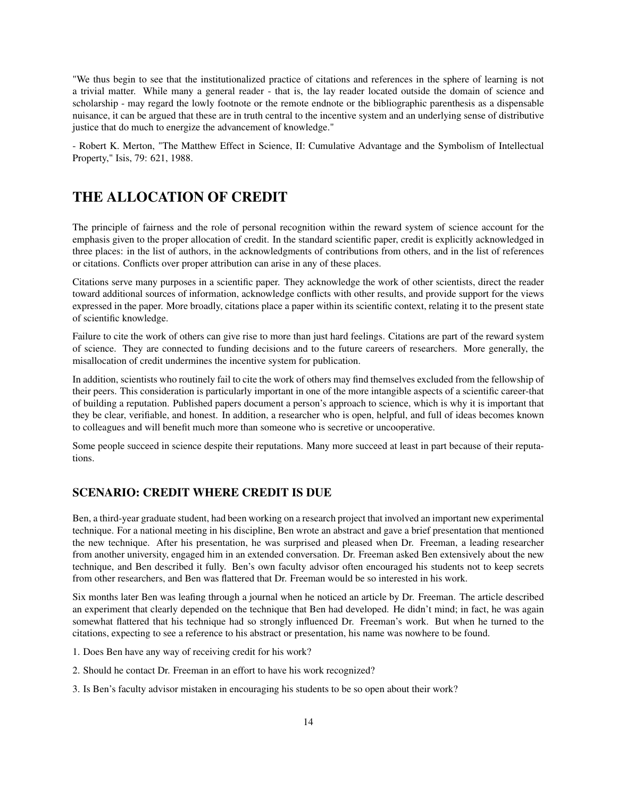"We thus begin to see that the institutionalized practice of citations and references in the sphere of learning is not a trivial matter. While many a general reader - that is, the lay reader located outside the domain of science and scholarship - may regard the lowly footnote or the remote endnote or the bibliographic parenthesis as a dispensable nuisance, it can be argued that these are in truth central to the incentive system and an underlying sense of distributive justice that do much to energize the advancement of knowledge."

- Robert K. Merton, "The Matthew Effect in Science, II: Cumulative Advantage and the Symbolism of Intellectual Property," Isis, 79: 621, 1988.

# THE ALLOCATION OF CREDIT

The principle of fairness and the role of personal recognition within the reward system of science account for the emphasis given to the proper allocation of credit. In the standard scientific paper, credit is explicitly acknowledged in three places: in the list of authors, in the acknowledgments of contributions from others, and in the list of references or citations. Conflicts over proper attribution can arise in any of these places.

Citations serve many purposes in a scientific paper. They acknowledge the work of other scientists, direct the reader toward additional sources of information, acknowledge conflicts with other results, and provide support for the views expressed in the paper. More broadly, citations place a paper within its scientific context, relating it to the present state of scientific knowledge.

Failure to cite the work of others can give rise to more than just hard feelings. Citations are part of the reward system of science. They are connected to funding decisions and to the future careers of researchers. More generally, the misallocation of credit undermines the incentive system for publication.

In addition, scientists who routinely fail to cite the work of others may find themselves excluded from the fellowship of their peers. This consideration is particularly important in one of the more intangible aspects of a scientific career-that of building a reputation. Published papers document a person's approach to science, which is why it is important that they be clear, verifiable, and honest. In addition, a researcher who is open, helpful, and full of ideas becomes known to colleagues and will benefit much more than someone who is secretive or uncooperative.

Some people succeed in science despite their reputations. Many more succeed at least in part because of their reputations.

### SCENARIO: CREDIT WHERE CREDIT IS DUE

Ben, a third-year graduate student, had been working on a research project that involved an important new experimental technique. For a national meeting in his discipline, Ben wrote an abstract and gave a brief presentation that mentioned the new technique. After his presentation, he was surprised and pleased when Dr. Freeman, a leading researcher from another university, engaged him in an extended conversation. Dr. Freeman asked Ben extensively about the new technique, and Ben described it fully. Ben's own faculty advisor often encouraged his students not to keep secrets from other researchers, and Ben was flattered that Dr. Freeman would be so interested in his work.

Six months later Ben was leafing through a journal when he noticed an article by Dr. Freeman. The article described an experiment that clearly depended on the technique that Ben had developed. He didn't mind; in fact, he was again somewhat flattered that his technique had so strongly influenced Dr. Freeman's work. But when he turned to the citations, expecting to see a reference to his abstract or presentation, his name was nowhere to be found.

- 1. Does Ben have any way of receiving credit for his work?
- 2. Should he contact Dr. Freeman in an effort to have his work recognized?
- 3. Is Ben's faculty advisor mistaken in encouraging his students to be so open about their work?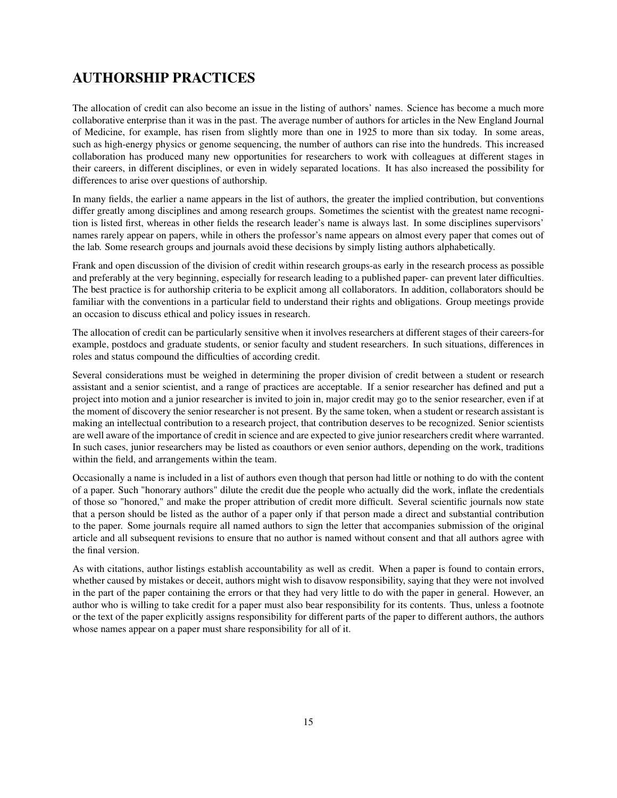# AUTHORSHIP PRACTICES

The allocation of credit can also become an issue in the listing of authors' names. Science has become a much more collaborative enterprise than it was in the past. The average number of authors for articles in the New England Journal of Medicine, for example, has risen from slightly more than one in 1925 to more than six today. In some areas, such as high-energy physics or genome sequencing, the number of authors can rise into the hundreds. This increased collaboration has produced many new opportunities for researchers to work with colleagues at different stages in their careers, in different disciplines, or even in widely separated locations. It has also increased the possibility for differences to arise over questions of authorship.

In many fields, the earlier a name appears in the list of authors, the greater the implied contribution, but conventions differ greatly among disciplines and among research groups. Sometimes the scientist with the greatest name recognition is listed first, whereas in other fields the research leader's name is always last. In some disciplines supervisors' names rarely appear on papers, while in others the professor's name appears on almost every paper that comes out of the lab. Some research groups and journals avoid these decisions by simply listing authors alphabetically.

Frank and open discussion of the division of credit within research groups-as early in the research process as possible and preferably at the very beginning, especially for research leading to a published paper- can prevent later difficulties. The best practice is for authorship criteria to be explicit among all collaborators. In addition, collaborators should be familiar with the conventions in a particular field to understand their rights and obligations. Group meetings provide an occasion to discuss ethical and policy issues in research.

The allocation of credit can be particularly sensitive when it involves researchers at different stages of their careers-for example, postdocs and graduate students, or senior faculty and student researchers. In such situations, differences in roles and status compound the difficulties of according credit.

Several considerations must be weighed in determining the proper division of credit between a student or research assistant and a senior scientist, and a range of practices are acceptable. If a senior researcher has defined and put a project into motion and a junior researcher is invited to join in, major credit may go to the senior researcher, even if at the moment of discovery the senior researcher is not present. By the same token, when a student or research assistant is making an intellectual contribution to a research project, that contribution deserves to be recognized. Senior scientists are well aware of the importance of credit in science and are expected to give junior researchers credit where warranted. In such cases, junior researchers may be listed as coauthors or even senior authors, depending on the work, traditions within the field, and arrangements within the team.

Occasionally a name is included in a list of authors even though that person had little or nothing to do with the content of a paper. Such "honorary authors" dilute the credit due the people who actually did the work, inflate the credentials of those so "honored," and make the proper attribution of credit more difficult. Several scientific journals now state that a person should be listed as the author of a paper only if that person made a direct and substantial contribution to the paper. Some journals require all named authors to sign the letter that accompanies submission of the original article and all subsequent revisions to ensure that no author is named without consent and that all authors agree with the final version.

As with citations, author listings establish accountability as well as credit. When a paper is found to contain errors, whether caused by mistakes or deceit, authors might wish to disavow responsibility, saying that they were not involved in the part of the paper containing the errors or that they had very little to do with the paper in general. However, an author who is willing to take credit for a paper must also bear responsibility for its contents. Thus, unless a footnote or the text of the paper explicitly assigns responsibility for different parts of the paper to different authors, the authors whose names appear on a paper must share responsibility for all of it.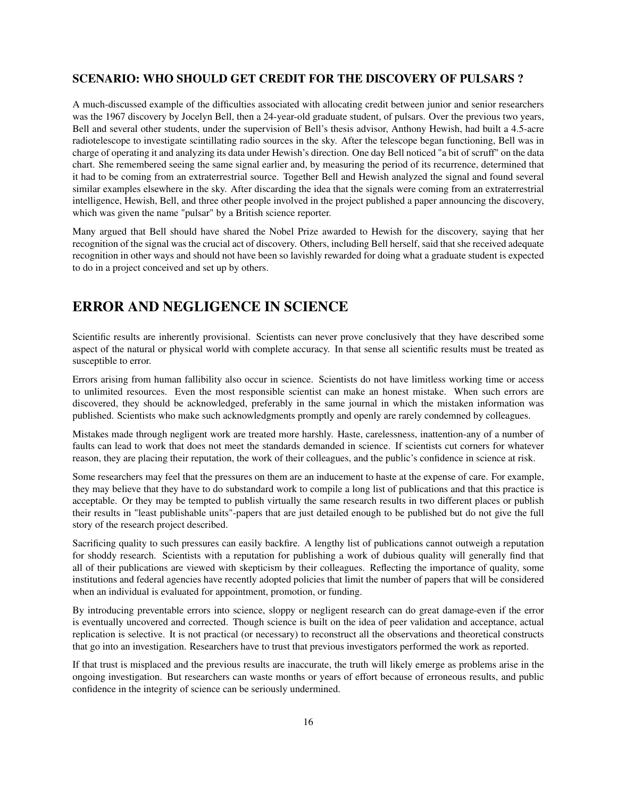#### SCENARIO: WHO SHOULD GET CREDIT FOR THE DISCOVERY OF PULSARS ?

A much-discussed example of the difficulties associated with allocating credit between junior and senior researchers was the 1967 discovery by Jocelyn Bell, then a 24-year-old graduate student, of pulsars. Over the previous two years, Bell and several other students, under the supervision of Bell's thesis advisor, Anthony Hewish, had built a 4.5-acre radiotelescope to investigate scintillating radio sources in the sky. After the telescope began functioning, Bell was in charge of operating it and analyzing its data under Hewish's direction. One day Bell noticed "a bit of scruff" on the data chart. She remembered seeing the same signal earlier and, by measuring the period of its recurrence, determined that it had to be coming from an extraterrestrial source. Together Bell and Hewish analyzed the signal and found several similar examples elsewhere in the sky. After discarding the idea that the signals were coming from an extraterrestrial intelligence, Hewish, Bell, and three other people involved in the project published a paper announcing the discovery, which was given the name "pulsar" by a British science reporter.

Many argued that Bell should have shared the Nobel Prize awarded to Hewish for the discovery, saying that her recognition of the signal was the crucial act of discovery. Others, including Bell herself, said that she received adequate recognition in other ways and should not have been so lavishly rewarded for doing what a graduate student is expected to do in a project conceived and set up by others.

# ERROR AND NEGLIGENCE IN SCIENCE

Scientific results are inherently provisional. Scientists can never prove conclusively that they have described some aspect of the natural or physical world with complete accuracy. In that sense all scientific results must be treated as susceptible to error.

Errors arising from human fallibility also occur in science. Scientists do not have limitless working time or access to unlimited resources. Even the most responsible scientist can make an honest mistake. When such errors are discovered, they should be acknowledged, preferably in the same journal in which the mistaken information was published. Scientists who make such acknowledgments promptly and openly are rarely condemned by colleagues.

Mistakes made through negligent work are treated more harshly. Haste, carelessness, inattention-any of a number of faults can lead to work that does not meet the standards demanded in science. If scientists cut corners for whatever reason, they are placing their reputation, the work of their colleagues, and the public's confidence in science at risk.

Some researchers may feel that the pressures on them are an inducement to haste at the expense of care. For example, they may believe that they have to do substandard work to compile a long list of publications and that this practice is acceptable. Or they may be tempted to publish virtually the same research results in two different places or publish their results in "least publishable units"-papers that are just detailed enough to be published but do not give the full story of the research project described.

Sacrificing quality to such pressures can easily backfire. A lengthy list of publications cannot outweigh a reputation for shoddy research. Scientists with a reputation for publishing a work of dubious quality will generally find that all of their publications are viewed with skepticism by their colleagues. Reflecting the importance of quality, some institutions and federal agencies have recently adopted policies that limit the number of papers that will be considered when an individual is evaluated for appointment, promotion, or funding.

By introducing preventable errors into science, sloppy or negligent research can do great damage-even if the error is eventually uncovered and corrected. Though science is built on the idea of peer validation and acceptance, actual replication is selective. It is not practical (or necessary) to reconstruct all the observations and theoretical constructs that go into an investigation. Researchers have to trust that previous investigators performed the work as reported.

If that trust is misplaced and the previous results are inaccurate, the truth will likely emerge as problems arise in the ongoing investigation. But researchers can waste months or years of effort because of erroneous results, and public confidence in the integrity of science can be seriously undermined.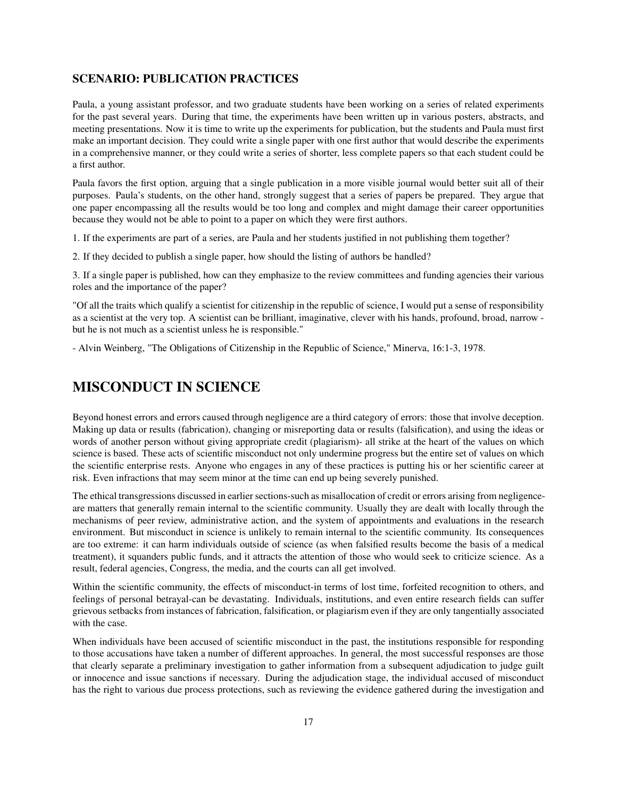#### SCENARIO: PUBLICATION PRACTICES

Paula, a young assistant professor, and two graduate students have been working on a series of related experiments for the past several years. During that time, the experiments have been written up in various posters, abstracts, and meeting presentations. Now it is time to write up the experiments for publication, but the students and Paula must first make an important decision. They could write a single paper with one first author that would describe the experiments in a comprehensive manner, or they could write a series of shorter, less complete papers so that each student could be a first author.

Paula favors the first option, arguing that a single publication in a more visible journal would better suit all of their purposes. Paula's students, on the other hand, strongly suggest that a series of papers be prepared. They argue that one paper encompassing all the results would be too long and complex and might damage their career opportunities because they would not be able to point to a paper on which they were first authors.

1. If the experiments are part of a series, are Paula and her students justified in not publishing them together?

2. If they decided to publish a single paper, how should the listing of authors be handled?

3. If a single paper is published, how can they emphasize to the review committees and funding agencies their various roles and the importance of the paper?

"Of all the traits which qualify a scientist for citizenship in the republic of science, I would put a sense of responsibility as a scientist at the very top. A scientist can be brilliant, imaginative, clever with his hands, profound, broad, narrow but he is not much as a scientist unless he is responsible."

- Alvin Weinberg, "The Obligations of Citizenship in the Republic of Science," Minerva, 16:1-3, 1978.

# MISCONDUCT IN SCIENCE

Beyond honest errors and errors caused through negligence are a third category of errors: those that involve deception. Making up data or results (fabrication), changing or misreporting data or results (falsification), and using the ideas or words of another person without giving appropriate credit (plagiarism)- all strike at the heart of the values on which science is based. These acts of scientific misconduct not only undermine progress but the entire set of values on which the scientific enterprise rests. Anyone who engages in any of these practices is putting his or her scientific career at risk. Even infractions that may seem minor at the time can end up being severely punished.

The ethical transgressions discussed in earlier sections-such as misallocation of credit or errors arising from negligenceare matters that generally remain internal to the scientific community. Usually they are dealt with locally through the mechanisms of peer review, administrative action, and the system of appointments and evaluations in the research environment. But misconduct in science is unlikely to remain internal to the scientific community. Its consequences are too extreme: it can harm individuals outside of science (as when falsified results become the basis of a medical treatment), it squanders public funds, and it attracts the attention of those who would seek to criticize science. As a result, federal agencies, Congress, the media, and the courts can all get involved.

Within the scientific community, the effects of misconduct-in terms of lost time, forfeited recognition to others, and feelings of personal betrayal-can be devastating. Individuals, institutions, and even entire research fields can suffer grievous setbacks from instances of fabrication, falsification, or plagiarism even if they are only tangentially associated with the case.

When individuals have been accused of scientific misconduct in the past, the institutions responsible for responding to those accusations have taken a number of different approaches. In general, the most successful responses are those that clearly separate a preliminary investigation to gather information from a subsequent adjudication to judge guilt or innocence and issue sanctions if necessary. During the adjudication stage, the individual accused of misconduct has the right to various due process protections, such as reviewing the evidence gathered during the investigation and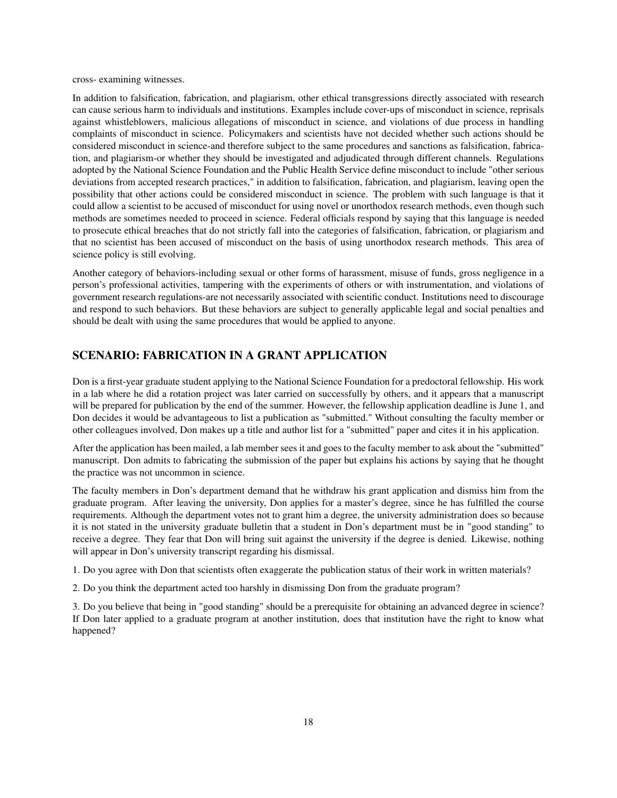cross- examining witnesses.

In addition to falsification, fabrication, and plagiarism, other ethical transgressions directly associated with research can cause serious harm to individuals and institutions. Examples include cover-ups of misconduct in science, reprisals against whistleblowers, malicious allegations of misconduct in science, and violations of due process in handling complaints of misconduct in science. Policymakers and scientists have not decided whether such actions should be considered misconduct in science-and therefore subject to the same procedures and sanctions as falsification, fabrication, and plagiarism-or whether they should be investigated and adjudicated through different channels. Regulations adopted by the National Science Foundation and the Public Health Service define misconduct to include "other serious deviations from accepted research practices," in addition to falsification, fabrication, and plagiarism, leaving open the possibility that other actions could be considered misconduct in science. The problem with such language is that it could allow a scientist to be accused of misconduct for using novel or unorthodox research methods, even though such methods are sometimes needed to proceed in science. Federal officials respond by saying that this language is needed to prosecute ethical breaches that do not strictly fall into the categories of falsification, fabrication, or plagiarism and that no scientist has been accused of misconduct on the basis of using unorthodox research methods. This area of science policy is still evolving.

Another category of behaviors-including sexual or other forms of harassment, misuse of funds, gross negligence in a person's professional activities, tampering with the experiments of others or with instrumentation, and violations of government research regulations-are not necessarily associated with scientific conduct. Institutions need to discourage and respond to such behaviors. But these behaviors are subject to generally applicable legal and social penalties and should be dealt with using the same procedures that would be applied to anyone.

#### SCENARIO: FABRICATION IN A GRANT APPLICATION

Don is a first-year graduate student applying to the National Science Foundation for a predoctoral fellowship. His work in a lab where he did a rotation project was later carried on successfully by others, and it appears that a manuscript will be prepared for publication by the end of the summer. However, the fellowship application deadline is June 1, and Don decides it would be advantageous to list a publication as "submitted." Without consulting the faculty member or other colleagues involved, Don makes up a title and author list for a "submitted" paper and cites it in his application.

After the application has been mailed, a lab member sees it and goes to the faculty member to ask about the "submitted" manuscript. Don admits to fabricating the submission of the paper but explains his actions by saying that he thought the practice was not uncommon in science.

The faculty members in Don's department demand that he withdraw his grant application and dismiss him from the graduate program. After leaving the university, Don applies for a master's degree, since he has fulfilled the course requirements. Although the department votes not to grant him a degree, the university administration does so because it is not stated in the university graduate bulletin that a student in Don's department must be in "good standing" to receive a degree. They fear that Don will bring suit against the university if the degree is denied. Likewise, nothing will appear in Don's university transcript regarding his dismissal.

1. Do you agree with Don that scientists often exaggerate the publication status of their work in written materials?

2. Do you think the department acted too harshly in dismissing Don from the graduate program?

3. Do you believe that being in "good standing" should be a prerequisite for obtaining an advanced degree in science? If Don later applied to a graduate program at another institution, does that institution have the right to know what happened?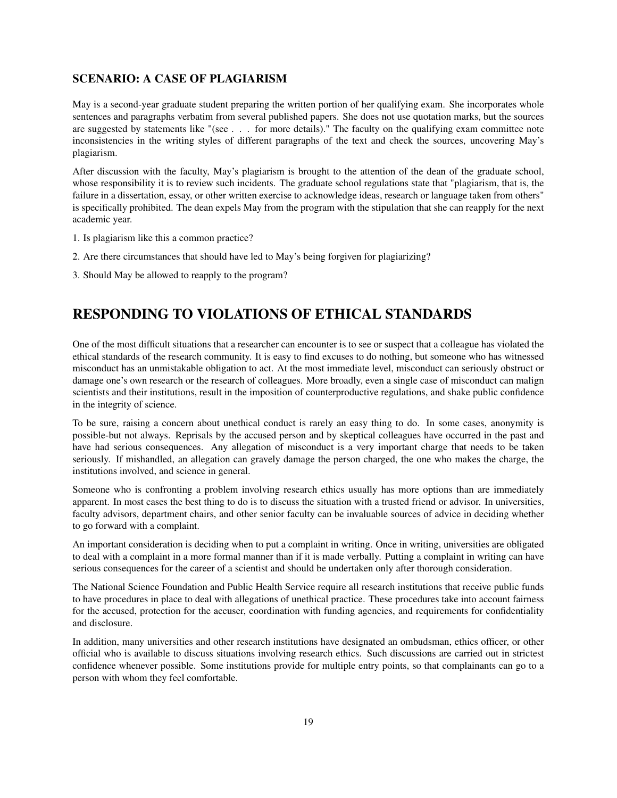#### SCENARIO: A CASE OF PLAGIARISM

May is a second-year graduate student preparing the written portion of her qualifying exam. She incorporates whole sentences and paragraphs verbatim from several published papers. She does not use quotation marks, but the sources are suggested by statements like "(see . . . for more details)." The faculty on the qualifying exam committee note inconsistencies in the writing styles of different paragraphs of the text and check the sources, uncovering May's plagiarism.

After discussion with the faculty, May's plagiarism is brought to the attention of the dean of the graduate school, whose responsibility it is to review such incidents. The graduate school regulations state that "plagiarism, that is, the failure in a dissertation, essay, or other written exercise to acknowledge ideas, research or language taken from others" is specifically prohibited. The dean expels May from the program with the stipulation that she can reapply for the next academic year.

- 1. Is plagiarism like this a common practice?
- 2. Are there circumstances that should have led to May's being forgiven for plagiarizing?
- 3. Should May be allowed to reapply to the program?

# RESPONDING TO VIOLATIONS OF ETHICAL STANDARDS

One of the most difficult situations that a researcher can encounter is to see or suspect that a colleague has violated the ethical standards of the research community. It is easy to find excuses to do nothing, but someone who has witnessed misconduct has an unmistakable obligation to act. At the most immediate level, misconduct can seriously obstruct or damage one's own research or the research of colleagues. More broadly, even a single case of misconduct can malign scientists and their institutions, result in the imposition of counterproductive regulations, and shake public confidence in the integrity of science.

To be sure, raising a concern about unethical conduct is rarely an easy thing to do. In some cases, anonymity is possible-but not always. Reprisals by the accused person and by skeptical colleagues have occurred in the past and have had serious consequences. Any allegation of misconduct is a very important charge that needs to be taken seriously. If mishandled, an allegation can gravely damage the person charged, the one who makes the charge, the institutions involved, and science in general.

Someone who is confronting a problem involving research ethics usually has more options than are immediately apparent. In most cases the best thing to do is to discuss the situation with a trusted friend or advisor. In universities, faculty advisors, department chairs, and other senior faculty can be invaluable sources of advice in deciding whether to go forward with a complaint.

An important consideration is deciding when to put a complaint in writing. Once in writing, universities are obligated to deal with a complaint in a more formal manner than if it is made verbally. Putting a complaint in writing can have serious consequences for the career of a scientist and should be undertaken only after thorough consideration.

The National Science Foundation and Public Health Service require all research institutions that receive public funds to have procedures in place to deal with allegations of unethical practice. These procedures take into account fairness for the accused, protection for the accuser, coordination with funding agencies, and requirements for confidentiality and disclosure.

In addition, many universities and other research institutions have designated an ombudsman, ethics officer, or other official who is available to discuss situations involving research ethics. Such discussions are carried out in strictest confidence whenever possible. Some institutions provide for multiple entry points, so that complainants can go to a person with whom they feel comfortable.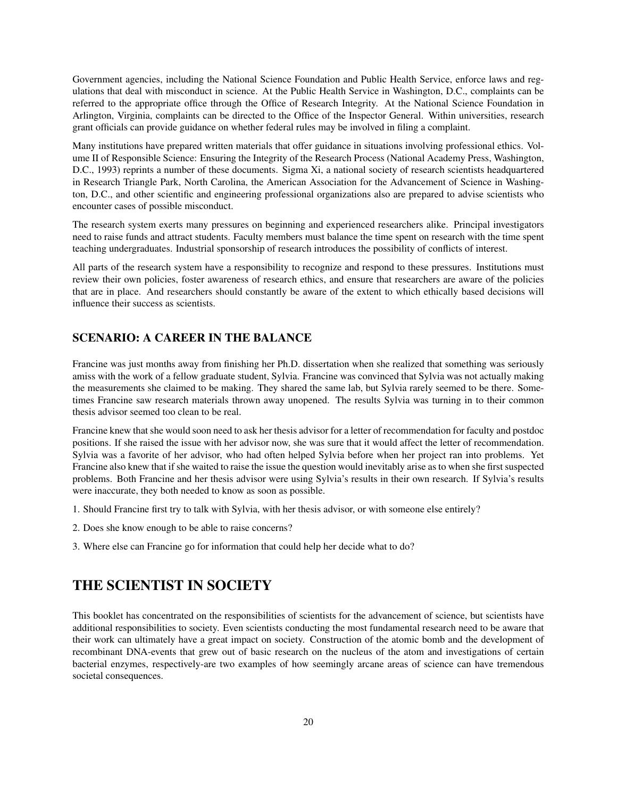Government agencies, including the National Science Foundation and Public Health Service, enforce laws and regulations that deal with misconduct in science. At the Public Health Service in Washington, D.C., complaints can be referred to the appropriate office through the Office of Research Integrity. At the National Science Foundation in Arlington, Virginia, complaints can be directed to the Office of the Inspector General. Within universities, research grant officials can provide guidance on whether federal rules may be involved in filing a complaint.

Many institutions have prepared written materials that offer guidance in situations involving professional ethics. Volume II of Responsible Science: Ensuring the Integrity of the Research Process (National Academy Press, Washington, D.C., 1993) reprints a number of these documents. Sigma Xi, a national society of research scientists headquartered in Research Triangle Park, North Carolina, the American Association for the Advancement of Science in Washington, D.C., and other scientific and engineering professional organizations also are prepared to advise scientists who encounter cases of possible misconduct.

The research system exerts many pressures on beginning and experienced researchers alike. Principal investigators need to raise funds and attract students. Faculty members must balance the time spent on research with the time spent teaching undergraduates. Industrial sponsorship of research introduces the possibility of conflicts of interest.

All parts of the research system have a responsibility to recognize and respond to these pressures. Institutions must review their own policies, foster awareness of research ethics, and ensure that researchers are aware of the policies that are in place. And researchers should constantly be aware of the extent to which ethically based decisions will influence their success as scientists.

#### SCENARIO: A CAREER IN THE BALANCE

Francine was just months away from finishing her Ph.D. dissertation when she realized that something was seriously amiss with the work of a fellow graduate student, Sylvia. Francine was convinced that Sylvia was not actually making the measurements she claimed to be making. They shared the same lab, but Sylvia rarely seemed to be there. Sometimes Francine saw research materials thrown away unopened. The results Sylvia was turning in to their common thesis advisor seemed too clean to be real.

Francine knew that she would soon need to ask her thesis advisor for a letter of recommendation for faculty and postdoc positions. If she raised the issue with her advisor now, she was sure that it would affect the letter of recommendation. Sylvia was a favorite of her advisor, who had often helped Sylvia before when her project ran into problems. Yet Francine also knew that if she waited to raise the issue the question would inevitably arise as to when she first suspected problems. Both Francine and her thesis advisor were using Sylvia's results in their own research. If Sylvia's results were inaccurate, they both needed to know as soon as possible.

- 1. Should Francine first try to talk with Sylvia, with her thesis advisor, or with someone else entirely?
- 2. Does she know enough to be able to raise concerns?
- 3. Where else can Francine go for information that could help her decide what to do?

## THE SCIENTIST IN SOCIETY

This booklet has concentrated on the responsibilities of scientists for the advancement of science, but scientists have additional responsibilities to society. Even scientists conducting the most fundamental research need to be aware that their work can ultimately have a great impact on society. Construction of the atomic bomb and the development of recombinant DNA-events that grew out of basic research on the nucleus of the atom and investigations of certain bacterial enzymes, respectively-are two examples of how seemingly arcane areas of science can have tremendous societal consequences.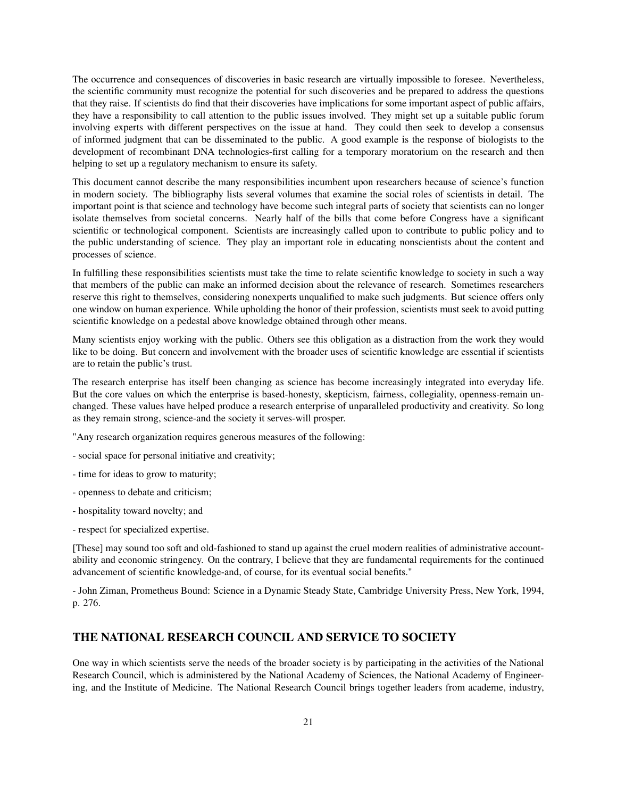The occurrence and consequences of discoveries in basic research are virtually impossible to foresee. Nevertheless, the scientific community must recognize the potential for such discoveries and be prepared to address the questions that they raise. If scientists do find that their discoveries have implications for some important aspect of public affairs, they have a responsibility to call attention to the public issues involved. They might set up a suitable public forum involving experts with different perspectives on the issue at hand. They could then seek to develop a consensus of informed judgment that can be disseminated to the public. A good example is the response of biologists to the development of recombinant DNA technologies-first calling for a temporary moratorium on the research and then helping to set up a regulatory mechanism to ensure its safety.

This document cannot describe the many responsibilities incumbent upon researchers because of science's function in modern society. The bibliography lists several volumes that examine the social roles of scientists in detail. The important point is that science and technology have become such integral parts of society that scientists can no longer isolate themselves from societal concerns. Nearly half of the bills that come before Congress have a significant scientific or technological component. Scientists are increasingly called upon to contribute to public policy and to the public understanding of science. They play an important role in educating nonscientists about the content and processes of science.

In fulfilling these responsibilities scientists must take the time to relate scientific knowledge to society in such a way that members of the public can make an informed decision about the relevance of research. Sometimes researchers reserve this right to themselves, considering nonexperts unqualified to make such judgments. But science offers only one window on human experience. While upholding the honor of their profession, scientists must seek to avoid putting scientific knowledge on a pedestal above knowledge obtained through other means.

Many scientists enjoy working with the public. Others see this obligation as a distraction from the work they would like to be doing. But concern and involvement with the broader uses of scientific knowledge are essential if scientists are to retain the public's trust.

The research enterprise has itself been changing as science has become increasingly integrated into everyday life. But the core values on which the enterprise is based-honesty, skepticism, fairness, collegiality, openness-remain unchanged. These values have helped produce a research enterprise of unparalleled productivity and creativity. So long as they remain strong, science-and the society it serves-will prosper.

"Any research organization requires generous measures of the following:

- social space for personal initiative and creativity;
- time for ideas to grow to maturity;
- openness to debate and criticism;
- hospitality toward novelty; and
- respect for specialized expertise.

[These] may sound too soft and old-fashioned to stand up against the cruel modern realities of administrative accountability and economic stringency. On the contrary, I believe that they are fundamental requirements for the continued advancement of scientific knowledge-and, of course, for its eventual social benefits."

- John Ziman, Prometheus Bound: Science in a Dynamic Steady State, Cambridge University Press, New York, 1994, p. 276.

#### THE NATIONAL RESEARCH COUNCIL AND SERVICE TO SOCIETY

One way in which scientists serve the needs of the broader society is by participating in the activities of the National Research Council, which is administered by the National Academy of Sciences, the National Academy of Engineering, and the Institute of Medicine. The National Research Council brings together leaders from academe, industry,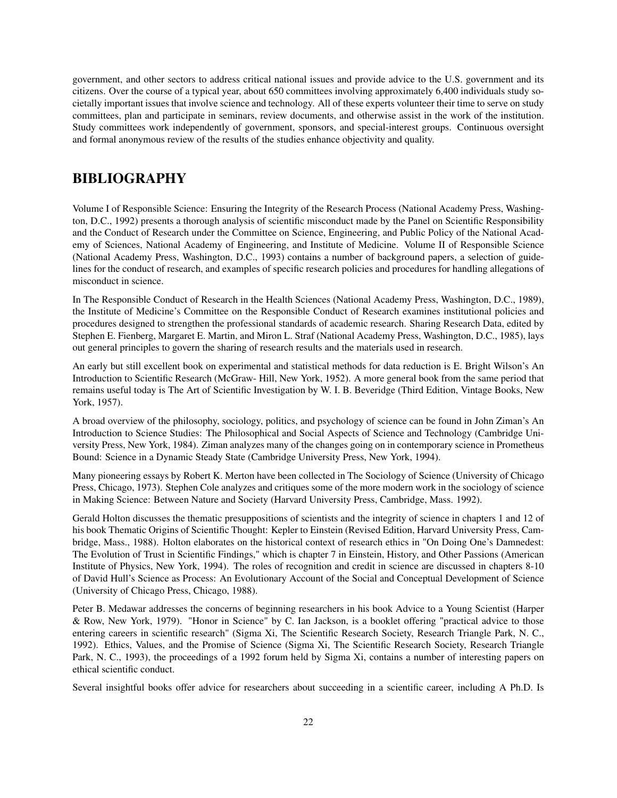government, and other sectors to address critical national issues and provide advice to the U.S. government and its citizens. Over the course of a typical year, about 650 committees involving approximately 6,400 individuals study societally important issues that involve science and technology. All of these experts volunteer their time to serve on study committees, plan and participate in seminars, review documents, and otherwise assist in the work of the institution. Study committees work independently of government, sponsors, and special-interest groups. Continuous oversight and formal anonymous review of the results of the studies enhance objectivity and quality.

### BIBLIOGRAPHY

Volume I of Responsible Science: Ensuring the Integrity of the Research Process (National Academy Press, Washington, D.C., 1992) presents a thorough analysis of scientific misconduct made by the Panel on Scientific Responsibility and the Conduct of Research under the Committee on Science, Engineering, and Public Policy of the National Academy of Sciences, National Academy of Engineering, and Institute of Medicine. Volume II of Responsible Science (National Academy Press, Washington, D.C., 1993) contains a number of background papers, a selection of guidelines for the conduct of research, and examples of specific research policies and procedures for handling allegations of misconduct in science.

In The Responsible Conduct of Research in the Health Sciences (National Academy Press, Washington, D.C., 1989), the Institute of Medicine's Committee on the Responsible Conduct of Research examines institutional policies and procedures designed to strengthen the professional standards of academic research. Sharing Research Data, edited by Stephen E. Fienberg, Margaret E. Martin, and Miron L. Straf (National Academy Press, Washington, D.C., 1985), lays out general principles to govern the sharing of research results and the materials used in research.

An early but still excellent book on experimental and statistical methods for data reduction is E. Bright Wilson's An Introduction to Scientific Research (McGraw- Hill, New York, 1952). A more general book from the same period that remains useful today is The Art of Scientific Investigation by W. I. B. Beveridge (Third Edition, Vintage Books, New York, 1957).

A broad overview of the philosophy, sociology, politics, and psychology of science can be found in John Ziman's An Introduction to Science Studies: The Philosophical and Social Aspects of Science and Technology (Cambridge University Press, New York, 1984). Ziman analyzes many of the changes going on in contemporary science in Prometheus Bound: Science in a Dynamic Steady State (Cambridge University Press, New York, 1994).

Many pioneering essays by Robert K. Merton have been collected in The Sociology of Science (University of Chicago Press, Chicago, 1973). Stephen Cole analyzes and critiques some of the more modern work in the sociology of science in Making Science: Between Nature and Society (Harvard University Press, Cambridge, Mass. 1992).

Gerald Holton discusses the thematic presuppositions of scientists and the integrity of science in chapters 1 and 12 of his book Thematic Origins of Scientific Thought: Kepler to Einstein (Revised Edition, Harvard University Press, Cambridge, Mass., 1988). Holton elaborates on the historical context of research ethics in "On Doing One's Damnedest: The Evolution of Trust in Scientific Findings," which is chapter 7 in Einstein, History, and Other Passions (American Institute of Physics, New York, 1994). The roles of recognition and credit in science are discussed in chapters 8-10 of David Hull's Science as Process: An Evolutionary Account of the Social and Conceptual Development of Science (University of Chicago Press, Chicago, 1988).

Peter B. Medawar addresses the concerns of beginning researchers in his book Advice to a Young Scientist (Harper & Row, New York, 1979). "Honor in Science" by C. Ian Jackson, is a booklet offering "practical advice to those entering careers in scientific research" (Sigma Xi, The Scientific Research Society, Research Triangle Park, N. C., 1992). Ethics, Values, and the Promise of Science (Sigma Xi, The Scientific Research Society, Research Triangle Park, N. C., 1993), the proceedings of a 1992 forum held by Sigma Xi, contains a number of interesting papers on ethical scientific conduct.

Several insightful books offer advice for researchers about succeeding in a scientific career, including A Ph.D. Is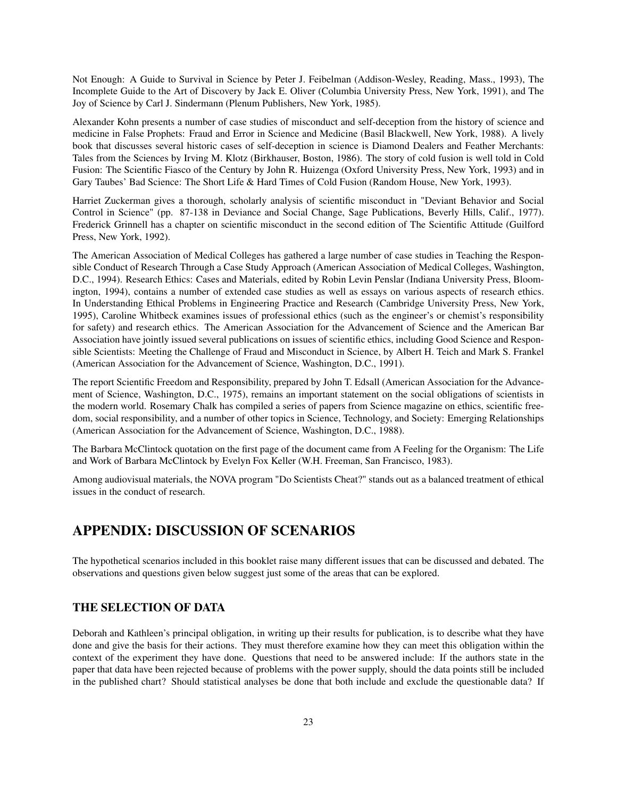Not Enough: A Guide to Survival in Science by Peter J. Feibelman (Addison-Wesley, Reading, Mass., 1993), The Incomplete Guide to the Art of Discovery by Jack E. Oliver (Columbia University Press, New York, 1991), and The Joy of Science by Carl J. Sindermann (Plenum Publishers, New York, 1985).

Alexander Kohn presents a number of case studies of misconduct and self-deception from the history of science and medicine in False Prophets: Fraud and Error in Science and Medicine (Basil Blackwell, New York, 1988). A lively book that discusses several historic cases of self-deception in science is Diamond Dealers and Feather Merchants: Tales from the Sciences by Irving M. Klotz (Birkhauser, Boston, 1986). The story of cold fusion is well told in Cold Fusion: The Scientific Fiasco of the Century by John R. Huizenga (Oxford University Press, New York, 1993) and in Gary Taubes' Bad Science: The Short Life & Hard Times of Cold Fusion (Random House, New York, 1993).

Harriet Zuckerman gives a thorough, scholarly analysis of scientific misconduct in "Deviant Behavior and Social Control in Science" (pp. 87-138 in Deviance and Social Change, Sage Publications, Beverly Hills, Calif., 1977). Frederick Grinnell has a chapter on scientific misconduct in the second edition of The Scientific Attitude (Guilford Press, New York, 1992).

The American Association of Medical Colleges has gathered a large number of case studies in Teaching the Responsible Conduct of Research Through a Case Study Approach (American Association of Medical Colleges, Washington, D.C., 1994). Research Ethics: Cases and Materials, edited by Robin Levin Penslar (Indiana University Press, Bloomington, 1994), contains a number of extended case studies as well as essays on various aspects of research ethics. In Understanding Ethical Problems in Engineering Practice and Research (Cambridge University Press, New York, 1995), Caroline Whitbeck examines issues of professional ethics (such as the engineer's or chemist's responsibility for safety) and research ethics. The American Association for the Advancement of Science and the American Bar Association have jointly issued several publications on issues of scientific ethics, including Good Science and Responsible Scientists: Meeting the Challenge of Fraud and Misconduct in Science, by Albert H. Teich and Mark S. Frankel (American Association for the Advancement of Science, Washington, D.C., 1991).

The report Scientific Freedom and Responsibility, prepared by John T. Edsall (American Association for the Advancement of Science, Washington, D.C., 1975), remains an important statement on the social obligations of scientists in the modern world. Rosemary Chalk has compiled a series of papers from Science magazine on ethics, scientific freedom, social responsibility, and a number of other topics in Science, Technology, and Society: Emerging Relationships (American Association for the Advancement of Science, Washington, D.C., 1988).

The Barbara McClintock quotation on the first page of the document came from A Feeling for the Organism: The Life and Work of Barbara McClintock by Evelyn Fox Keller (W.H. Freeman, San Francisco, 1983).

Among audiovisual materials, the NOVA program "Do Scientists Cheat?" stands out as a balanced treatment of ethical issues in the conduct of research.

### APPENDIX: DISCUSSION OF SCENARIOS

The hypothetical scenarios included in this booklet raise many different issues that can be discussed and debated. The observations and questions given below suggest just some of the areas that can be explored.

#### THE SELECTION OF DATA

Deborah and Kathleen's principal obligation, in writing up their results for publication, is to describe what they have done and give the basis for their actions. They must therefore examine how they can meet this obligation within the context of the experiment they have done. Questions that need to be answered include: If the authors state in the paper that data have been rejected because of problems with the power supply, should the data points still be included in the published chart? Should statistical analyses be done that both include and exclude the questionable data? If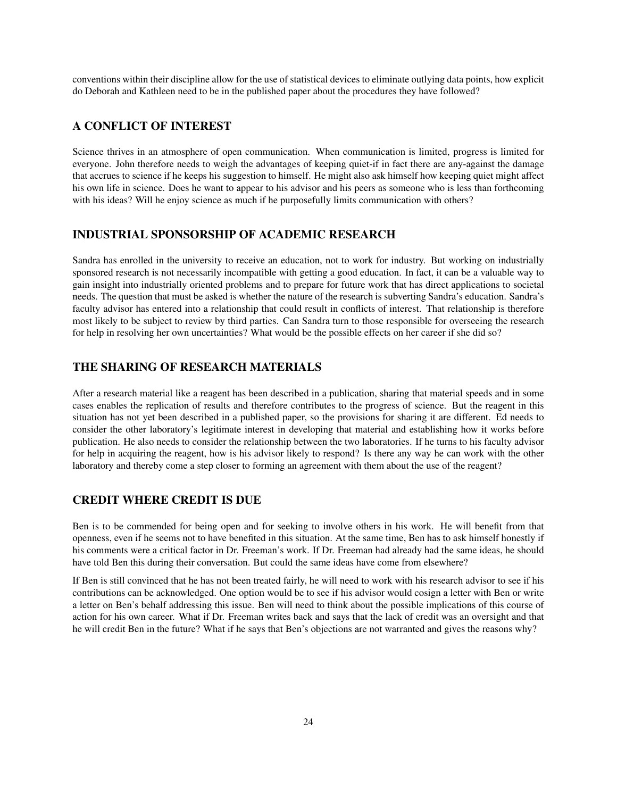conventions within their discipline allow for the use of statistical devices to eliminate outlying data points, how explicit do Deborah and Kathleen need to be in the published paper about the procedures they have followed?

#### A CONFLICT OF INTEREST

Science thrives in an atmosphere of open communication. When communication is limited, progress is limited for everyone. John therefore needs to weigh the advantages of keeping quiet-if in fact there are any-against the damage that accrues to science if he keeps his suggestion to himself. He might also ask himself how keeping quiet might affect his own life in science. Does he want to appear to his advisor and his peers as someone who is less than forthcoming with his ideas? Will he enjoy science as much if he purposefully limits communication with others?

#### INDUSTRIAL SPONSORSHIP OF ACADEMIC RESEARCH

Sandra has enrolled in the university to receive an education, not to work for industry. But working on industrially sponsored research is not necessarily incompatible with getting a good education. In fact, it can be a valuable way to gain insight into industrially oriented problems and to prepare for future work that has direct applications to societal needs. The question that must be asked is whether the nature of the research is subverting Sandra's education. Sandra's faculty advisor has entered into a relationship that could result in conflicts of interest. That relationship is therefore most likely to be subject to review by third parties. Can Sandra turn to those responsible for overseeing the research for help in resolving her own uncertainties? What would be the possible effects on her career if she did so?

### THE SHARING OF RESEARCH MATERIALS

After a research material like a reagent has been described in a publication, sharing that material speeds and in some cases enables the replication of results and therefore contributes to the progress of science. But the reagent in this situation has not yet been described in a published paper, so the provisions for sharing it are different. Ed needs to consider the other laboratory's legitimate interest in developing that material and establishing how it works before publication. He also needs to consider the relationship between the two laboratories. If he turns to his faculty advisor for help in acquiring the reagent, how is his advisor likely to respond? Is there any way he can work with the other laboratory and thereby come a step closer to forming an agreement with them about the use of the reagent?

#### CREDIT WHERE CREDIT IS DUE

Ben is to be commended for being open and for seeking to involve others in his work. He will benefit from that openness, even if he seems not to have benefited in this situation. At the same time, Ben has to ask himself honestly if his comments were a critical factor in Dr. Freeman's work. If Dr. Freeman had already had the same ideas, he should have told Ben this during their conversation. But could the same ideas have come from elsewhere?

If Ben is still convinced that he has not been treated fairly, he will need to work with his research advisor to see if his contributions can be acknowledged. One option would be to see if his advisor would cosign a letter with Ben or write a letter on Ben's behalf addressing this issue. Ben will need to think about the possible implications of this course of action for his own career. What if Dr. Freeman writes back and says that the lack of credit was an oversight and that he will credit Ben in the future? What if he says that Ben's objections are not warranted and gives the reasons why?